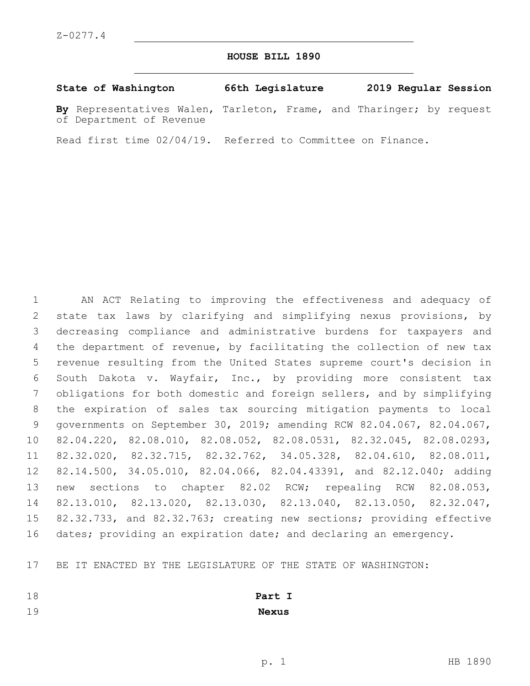### **HOUSE BILL 1890**

| State of Washington                                                                              | 66th Legislature |  | 2019 Regular Session |  |
|--------------------------------------------------------------------------------------------------|------------------|--|----------------------|--|
| By Representatives Walen, Tarleton, Frame, and Tharinger; by request<br>of Department of Revenue |                  |  |                      |  |

Read first time 02/04/19. Referred to Committee on Finance.

 AN ACT Relating to improving the effectiveness and adequacy of state tax laws by clarifying and simplifying nexus provisions, by decreasing compliance and administrative burdens for taxpayers and the department of revenue, by facilitating the collection of new tax revenue resulting from the United States supreme court's decision in South Dakota v. Wayfair, Inc., by providing more consistent tax obligations for both domestic and foreign sellers, and by simplifying the expiration of sales tax sourcing mitigation payments to local governments on September 30, 2019; amending RCW 82.04.067, 82.04.067, 82.04.220, 82.08.010, 82.08.052, 82.08.0531, 82.32.045, 82.08.0293, 82.32.020, 82.32.715, 82.32.762, 34.05.328, 82.04.610, 82.08.011, 82.14.500, 34.05.010, 82.04.066, 82.04.43391, and 82.12.040; adding new sections to chapter 82.02 RCW; repealing RCW 82.08.053, 82.13.010, 82.13.020, 82.13.030, 82.13.040, 82.13.050, 82.32.047, 82.32.733, and 82.32.763; creating new sections; providing effective 16 dates; providing an expiration date; and declaring an emergency.

BE IT ENACTED BY THE LEGISLATURE OF THE STATE OF WASHINGTON:

 **Part I Nexus**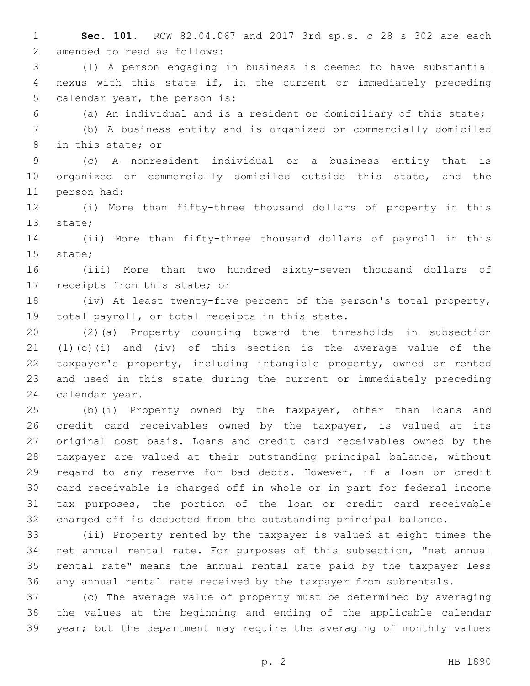- **Sec. 101.** RCW 82.04.067 and 2017 3rd sp.s. c 28 s 302 are each 2 amended to read as follows:
- (1) A person engaging in business is deemed to have substantial nexus with this state if, in the current or immediately preceding 5 calendar year, the person is:
- 

(a) An individual and is a resident or domiciliary of this state;

 (b) A business entity and is organized or commercially domiciled 8 in this state; or

 (c) A nonresident individual or a business entity that is organized or commercially domiciled outside this state, and the 11 person had:

 (i) More than fifty-three thousand dollars of property in this 13 state;

 (ii) More than fifty-three thousand dollars of payroll in this 15 state;

 (iii) More than two hundred sixty-seven thousand dollars of 17 receipts from this state; or

 (iv) At least twenty-five percent of the person's total property, 19 total payroll, or total receipts in this state.

 (2)(a) Property counting toward the thresholds in subsection (1)(c)(i) and (iv) of this section is the average value of the taxpayer's property, including intangible property, owned or rented and used in this state during the current or immediately preceding 24 calendar year.

 (b)(i) Property owned by the taxpayer, other than loans and credit card receivables owned by the taxpayer, is valued at its original cost basis. Loans and credit card receivables owned by the taxpayer are valued at their outstanding principal balance, without regard to any reserve for bad debts. However, if a loan or credit card receivable is charged off in whole or in part for federal income tax purposes, the portion of the loan or credit card receivable charged off is deducted from the outstanding principal balance.

 (ii) Property rented by the taxpayer is valued at eight times the net annual rental rate. For purposes of this subsection, "net annual rental rate" means the annual rental rate paid by the taxpayer less any annual rental rate received by the taxpayer from subrentals.

 (c) The average value of property must be determined by averaging the values at the beginning and ending of the applicable calendar year; but the department may require the averaging of monthly values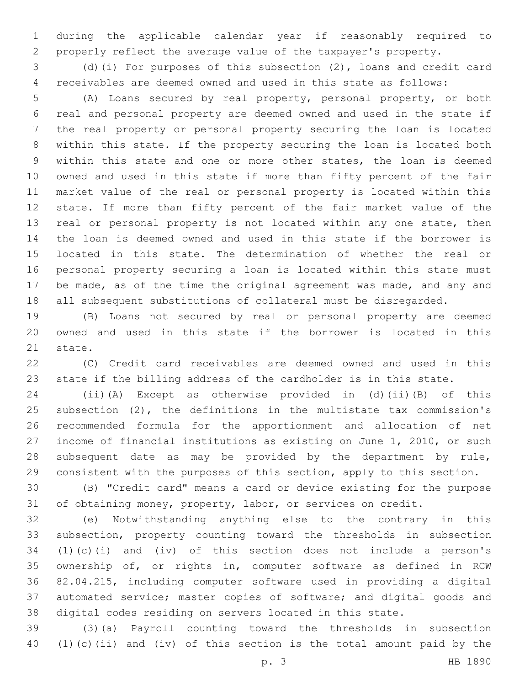during the applicable calendar year if reasonably required to properly reflect the average value of the taxpayer's property.

 (d)(i) For purposes of this subsection (2), loans and credit card receivables are deemed owned and used in this state as follows:

 (A) Loans secured by real property, personal property, or both real and personal property are deemed owned and used in the state if the real property or personal property securing the loan is located within this state. If the property securing the loan is located both within this state and one or more other states, the loan is deemed owned and used in this state if more than fifty percent of the fair market value of the real or personal property is located within this state. If more than fifty percent of the fair market value of the 13 real or personal property is not located within any one state, then the loan is deemed owned and used in this state if the borrower is located in this state. The determination of whether the real or personal property securing a loan is located within this state must be made, as of the time the original agreement was made, and any and all subsequent substitutions of collateral must be disregarded.

 (B) Loans not secured by real or personal property are deemed owned and used in this state if the borrower is located in this 21 state.

 (C) Credit card receivables are deemed owned and used in this state if the billing address of the cardholder is in this state.

 (ii)(A) Except as otherwise provided in (d)(ii)(B) of this subsection (2), the definitions in the multistate tax commission's recommended formula for the apportionment and allocation of net income of financial institutions as existing on June 1, 2010, or such subsequent date as may be provided by the department by rule, consistent with the purposes of this section, apply to this section.

 (B) "Credit card" means a card or device existing for the purpose 31 of obtaining money, property, labor, or services on credit.

 (e) Notwithstanding anything else to the contrary in this subsection, property counting toward the thresholds in subsection (1)(c)(i) and (iv) of this section does not include a person's ownership of, or rights in, computer software as defined in RCW 82.04.215, including computer software used in providing a digital automated service; master copies of software; and digital goods and digital codes residing on servers located in this state.

 (3)(a) Payroll counting toward the thresholds in subsection (1)(c)(ii) and (iv) of this section is the total amount paid by the

p. 3 HB 1890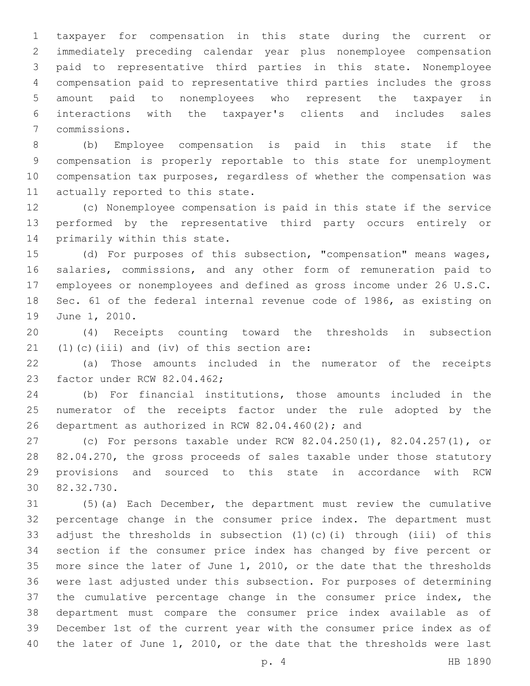taxpayer for compensation in this state during the current or immediately preceding calendar year plus nonemployee compensation paid to representative third parties in this state. Nonemployee compensation paid to representative third parties includes the gross amount paid to nonemployees who represent the taxpayer in interactions with the taxpayer's clients and includes sales commissions.7

 (b) Employee compensation is paid in this state if the compensation is properly reportable to this state for unemployment compensation tax purposes, regardless of whether the compensation was 11 actually reported to this state.

 (c) Nonemployee compensation is paid in this state if the service performed by the representative third party occurs entirely or 14 primarily within this state.

 (d) For purposes of this subsection, "compensation" means wages, salaries, commissions, and any other form of remuneration paid to employees or nonemployees and defined as gross income under 26 U.S.C. Sec. 61 of the federal internal revenue code of 1986, as existing on 19 June 1, 2010.

 (4) Receipts counting toward the thresholds in subsection  $(1)(c)(iii)$  and  $(iv)$  of this section are:

 (a) Those amounts included in the numerator of the receipts 23 factor under RCW 82.04.462;

 (b) For financial institutions, those amounts included in the numerator of the receipts factor under the rule adopted by the 26 department as authorized in RCW  $82.04.460(2)$ ; and

 (c) For persons taxable under RCW 82.04.250(1), 82.04.257(1), or 82.04.270, the gross proceeds of sales taxable under those statutory provisions and sourced to this state in accordance with RCW 30 82.32.730.

 (5)(a) Each December, the department must review the cumulative percentage change in the consumer price index. The department must adjust the thresholds in subsection (1)(c)(i) through (iii) of this section if the consumer price index has changed by five percent or more since the later of June 1, 2010, or the date that the thresholds were last adjusted under this subsection. For purposes of determining the cumulative percentage change in the consumer price index, the department must compare the consumer price index available as of December 1st of the current year with the consumer price index as of the later of June 1, 2010, or the date that the thresholds were last

p. 4 HB 1890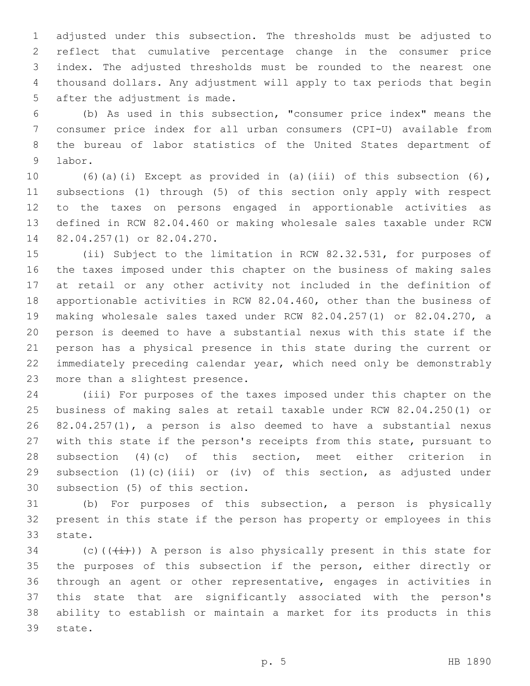adjusted under this subsection. The thresholds must be adjusted to reflect that cumulative percentage change in the consumer price index. The adjusted thresholds must be rounded to the nearest one thousand dollars. Any adjustment will apply to tax periods that begin 5 after the adjustment is made.

 (b) As used in this subsection, "consumer price index" means the consumer price index for all urban consumers (CPI-U) available from the bureau of labor statistics of the United States department of 9 labor.

 (6)(a)(i) Except as provided in (a)(iii) of this subsection (6), subsections (1) through (5) of this section only apply with respect to the taxes on persons engaged in apportionable activities as defined in RCW 82.04.460 or making wholesale sales taxable under RCW 14 82.04.257(1) or 82.04.270.

 (ii) Subject to the limitation in RCW 82.32.531, for purposes of the taxes imposed under this chapter on the business of making sales at retail or any other activity not included in the definition of apportionable activities in RCW 82.04.460, other than the business of making wholesale sales taxed under RCW 82.04.257(1) or 82.04.270, a person is deemed to have a substantial nexus with this state if the person has a physical presence in this state during the current or immediately preceding calendar year, which need only be demonstrably 23 more than a slightest presence.

 (iii) For purposes of the taxes imposed under this chapter on the business of making sales at retail taxable under RCW 82.04.250(1) or 82.04.257(1), a person is also deemed to have a substantial nexus with this state if the person's receipts from this state, pursuant to subsection (4)(c) of this section, meet either criterion in subsection (1)(c)(iii) or (iv) of this section, as adjusted under 30 subsection (5) of this section.

 (b) For purposes of this subsection, a person is physically present in this state if the person has property or employees in this 33 state.

34 (c)( $(\frac{1}{1})$ ) A person is also physically present in this state for the purposes of this subsection if the person, either directly or through an agent or other representative, engages in activities in this state that are significantly associated with the person's ability to establish or maintain a market for its products in this 39 state.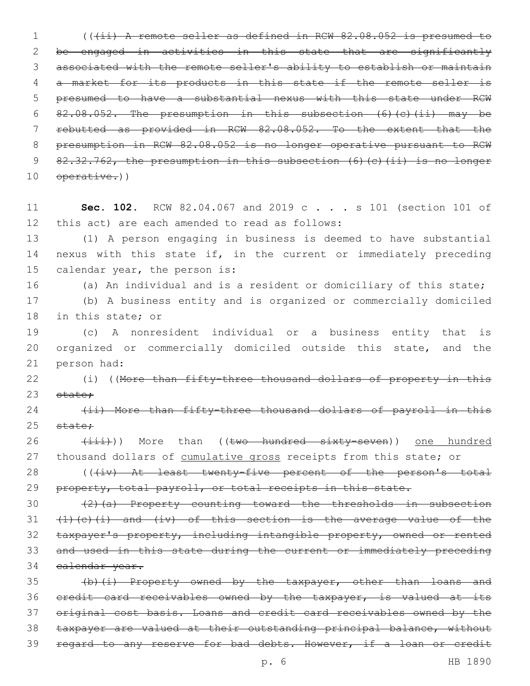1 (((ii) A remote seller as defined in RCW 82.08.052 is presumed to be engaged in activities in this state that are significantly associated with the remote seller's ability to establish or maintain a market for its products in this state if the remote seller is presumed to have a substantial nexus with this state under RCW 82.08.052. The presumption in this subsection (6)(c)(ii) may be rebutted as provided in RCW 82.08.052. To the extent that the presumption in RCW 82.08.052 is no longer operative pursuant to RCW 82.32.762, the presumption in this subsection (6)(c)(ii) is no longer 10 operative.))

11 **Sec. 102.** RCW 82.04.067 and 2019 c . . . s 101 (section 101 of 12 this act) are each amended to read as follows:

13 (1) A person engaging in business is deemed to have substantial 14 nexus with this state if, in the current or immediately preceding 15 calendar year, the person is:

16 (a) An individual and is a resident or domiciliary of this state;

17 (b) A business entity and is organized or commercially domiciled 18 in this state; or

19 (c) A nonresident individual or a business entity that is 20 organized or commercially domiciled outside this state, and the 21 person had:

22 (i) ((More than fifty-three thousand dollars of property in this 23 state;

24 (ii) More than fifty-three thousand dollars of payroll in this  $25$  state:

26 (iii))) More than ((two hundred sixty-seven)) one hundred 27 thousand dollars of cumulative gross receipts from this state; or

28 (((iv) At least twenty-five percent of the person's total 29 property, total payroll, or total receipts in this state.

30 (2)(a) Property counting toward the thresholds in subsection  $(1)(c)(i)$  and  $(iv)$  of this section is the average value of the taxpayer's property, including intangible property, owned or rented and used in this state during the current or immediately preceding calendar year.

35 (b)(i) Property owned by the taxpayer, other than loans and 36 credit card receivables owned by the taxpayer, is valued at its 37 original cost basis. Loans and credit card receivables owned by the 38 taxpayer are valued at their outstanding principal balance, without 39 regard to any reserve for bad debts. However, if a loan or credit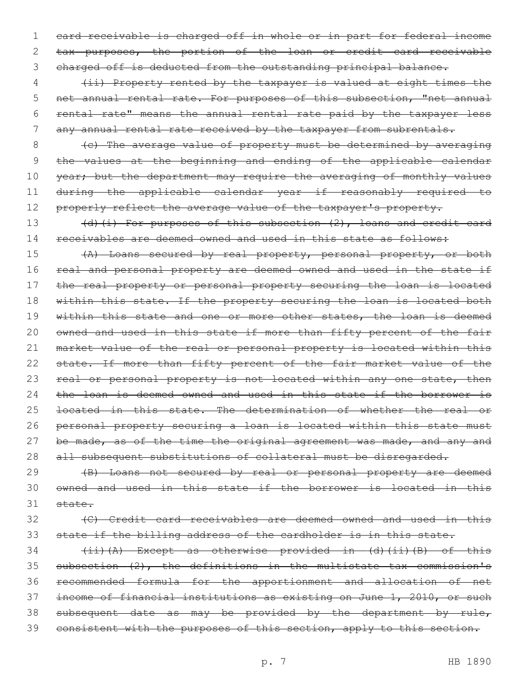1 card receivable is charged off in whole or in part for federal income 2 tax purposes, the portion of the loan or credit card receivable 3 charged off is deducted from the outstanding principal balance.

4 (ii) Property rented by the taxpayer is valued at eight times the 5 net annual rental rate. For purposes of this subsection, "net annual 6 rental rate" means the annual rental rate paid by the taxpayer less 7 any annual rental rate received by the taxpayer from subrentals.

8 (c) The average value of property must be determined by averaging 9 the values at the beginning and ending of the applicable calendar 10 year; but the department may require the averaging of monthly values 11 during the applicable calendar year if reasonably required to 12 properly reflect the average value of the taxpayer's property.

13 (d)(i) For purposes of this subsection (2), loans and credit card 14 receivables are deemed owned and used in this state as follows:

15 (A) Loans secured by real property, personal property, or both 16 real and personal property are deemed owned and used in the state if 17 the real property or personal property securing the loan is located 18 within this state. If the property securing the loan is located both 19 within this state and one or more other states, the loan is deemed 20 owned and used in this state if more than fifty percent of the fair 21 market value of the real or personal property is located within this 22 state. If more than fifty percent of the fair market value of the 23 real or personal property is not located within any one state, then 24 the loan is deemed owned and used in this state if the borrower is 25 <del>located in this state. The determination of whether the real or</del> 26 personal property securing a loan is located within this state must 27 be made, as of the time the original agreement was made, and any and 28 all subsequent substitutions of collateral must be disregarded.

29 (B) Loans not secured by real or personal property are deemed 30 owned and used in this state if the borrower is located in this 31 state.

# 32 (C) Credit card receivables are deemed owned and used in this 33 state if the billing address of the cardholder is in this state.

 (ii)(A) Except as otherwise provided in (d)(ii)(B) of this subsection (2), the definitions in the multistate tax commission's recommended formula for the apportionment and allocation of net income of financial institutions as existing on June 1, 2010, or such 38 subsequent date as may be provided by the department by rule, 39 consistent with the purposes of this section, apply to this section.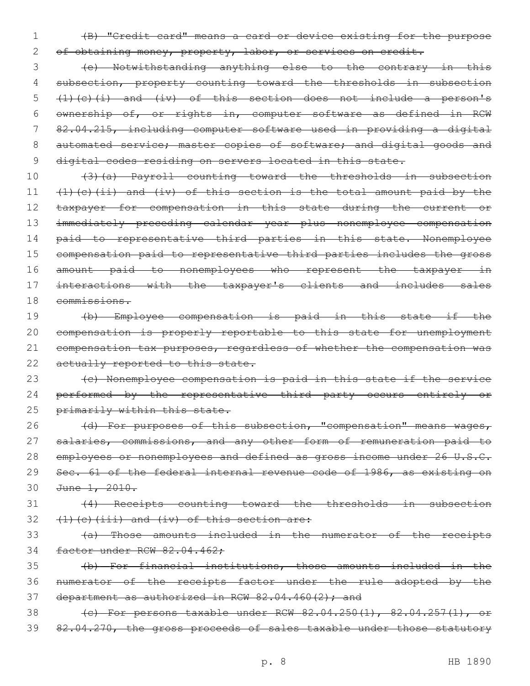1 (B) "Credit card" means a card or device existing for the purpose

2 of obtaining money, property, labor, or services on credit.

3 (e) Notwithstanding anything else to the contrary in this 4 subsection, property counting toward the thresholds in subsection 5  $(1)(c)(i)$  and  $(iv)$  of this section does not include a person's 6 ownership of, or rights in, computer software as defined in RCW 7 82.04.215, including computer software used in providing a digital 8 automated service; master copies of software; and digital goods and 9 digital codes residing on servers located in this state.

 (3)(a) Payroll counting toward the thresholds in subsection  $(1)$  (c)(ii) and (iv) of this section is the total amount paid by the 12 taxpayer for compensation in this state during the current or immediately preceding calendar year plus nonemployee compensation 14 paid to representative third parties in this state. Nonemployee compensation paid to representative third parties includes the gross amount paid to nonemployees who represent the taxpayer in 17 interactions with the taxpayer's clients and includes sales commissions.

 (b) Employee compensation is paid in this state if the compensation is properly reportable to this state for unemployment compensation tax purposes, regardless of whether the compensation was 22 actually reported to this state.

23 (c) Nonemployee compensation is paid in this state if the service 24 performed by the representative third party occurs entirely or 25 primarily within this state.

26 (d) For purposes of this subsection, "compensation" means wages, 27 salaries, commissions, and any other form of remuneration paid to 28 employees or nonemployees and defined as gross income under 26 U.S.C. 29 Sec. 61 of the federal internal revenue code of 1986, as existing on 30 June 1, 2010.

31 (4) Receipts counting toward the thresholds in subsection  $32$  (1)(c)(iii) and (iv) of this section are:

33 (a) Those amounts included in the numerator of the receipts 34 factor under RCW 82.04.462;

35 (b) For financial institutions, those amounts included in the 36 numerator of the receipts factor under the rule adopted by the 37 department as authorized in RCW  $82.04.460(2)$ ; and

38 (c) For persons taxable under RCW 82.04.250(1), 82.04.257(1), 39 82.04.270, the gross proceeds of sales taxable under those statutory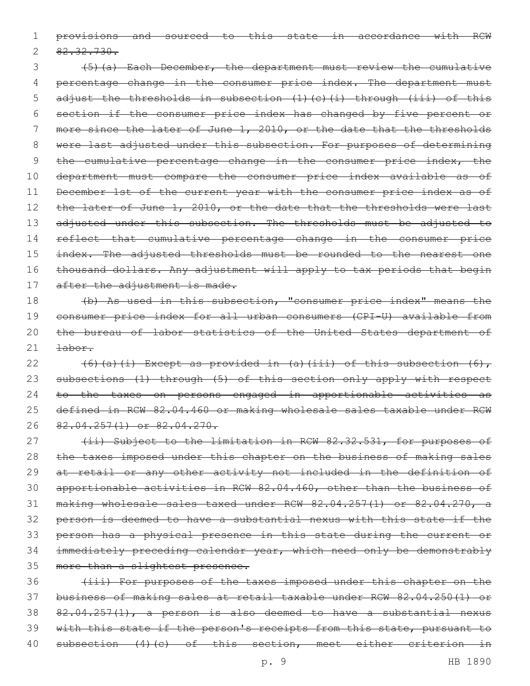1 provisions and sourced to this state in accordance with RCW

 $2 \quad 82.32.730.$ 

3 (5)(a) Each December, the department must review the cumulative 4 percentage change in the consumer price index. The department must 5 adjust the thresholds in subsection (1)(c)(i) through (iii) of this 6 section if the consumer price index has changed by five percent or 7 more since the later of June 1, 2010, or the date that the thresholds 8 were last adjusted under this subsection. For purposes of determining 9 the cumulative percentage change in the consumer price index, the 10 department must compare the consumer price index available as of 11 December 1st of the current year with the consumer price index as of 12 the later of June 1, 2010, or the date that the thresholds were last 13 adjusted under this subsection. The thresholds must be adjusted to 14 reflect that cumulative percentage change in the consumer price 15 index. The adjusted thresholds must be rounded to the nearest one 16 thousand dollars. Any adjustment will apply to tax periods that begin 17 after the adjustment is made.

18 (b) As used in this subsection, "consumer price index" means the 19 consumer price index for all urban consumers (CPI-U) available from 20 the bureau of labor statistics of the United States department of 21 <del>labor.</del>

 $(6)(a)(i)$  Except as provided in  $(a)(iii)$  of this subsection  $(6)$ , 23 subsections (1) through (5) of this section only apply with respect to the taxes on persons engaged in apportionable activities as defined in RCW 82.04.460 or making wholesale sales taxable under RCW 82.04.257(1) or 82.04.270.

27 (ii) Subject to the limitation in RCW 82.32.531, for purposes of 28 the taxes imposed under this chapter on the business of making sales at retail or any other activity not included in the definition of apportionable activities in RCW 82.04.460, other than the business of making wholesale sales taxed under RCW 82.04.257(1) or 82.04.270, a person is deemed to have a substantial nexus with this state if the person has a physical presence in this state during the current or immediately preceding calendar year, which need only be demonstrably 35 more than a slightest presence.

 (iii) For purposes of the taxes imposed under this chapter on the business of making sales at retail taxable under RCW 82.04.250(1) or 82.04.257(1), a person is also deemed to have a substantial nexus 39 with this state if the person's receipts from this state, pursuant to subsection (4)(c) of this section, meet either criterion in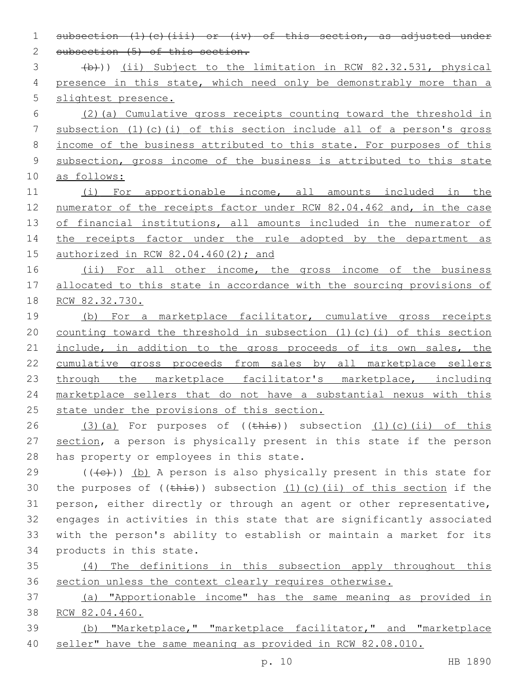2 subsection (5) of this section. (b))) (ii) Subject to the limitation in RCW 82.32.531, physical 4 presence in this state, which need only be demonstrably more than a slightest presence. (2)(a) Cumulative gross receipts counting toward the threshold in subsection (1)(c)(i) of this section include all of a person's gross 8 income of the business attributed to this state. For purposes of this subsection, gross income of the business is attributed to this state as follows: (i) For apportionable income, all amounts included in the numerator of the receipts factor under RCW 82.04.462 and, in the case 13 of financial institutions, all amounts included in the numerator of 14 the receipts factor under the rule adopted by the department as authorized in RCW 82.04.460(2); and 16 (ii) For all other income, the gross income of the business allocated to this state in accordance with the sourcing provisions of RCW 82.32.730. 19 (b) For a marketplace facilitator, cumulative gross receipts counting toward the threshold in subsection (1)(c)(i) of this section 21 include, in addition to the gross proceeds of its own sales, the cumulative gross proceeds from sales by all marketplace sellers 23 through the marketplace facilitator's marketplace, including marketplace sellers that do not have a substantial nexus with this 25 state under the provisions of this section.  $(3)(a)$  For purposes of  $((this))$  subsection  $(1)(c)(ii)$  of this 27 section, a person is physically present in this state if the person 28 has property or employees in this state. 29 ( $(\overline{+e})$ ) (b) A person is also physically present in this state for 30 the purposes of  $((\text{this}) )$  subsection  $(1)$  (c)(ii) of this section if the person, either directly or through an agent or other representative, engages in activities in this state that are significantly associated with the person's ability to establish or maintain a market for its 34 products in this state. (4) The definitions in this subsection apply throughout this section unless the context clearly requires otherwise. (a) "Apportionable income" has the same meaning as provided in RCW 82.04.460. (b) "Marketplace," "marketplace facilitator," and "marketplace seller" have the same meaning as provided in RCW 82.08.010.

1 subsection (1)(c)(iii) or (iv) of this section, as adjusted under

p. 10 HB 1890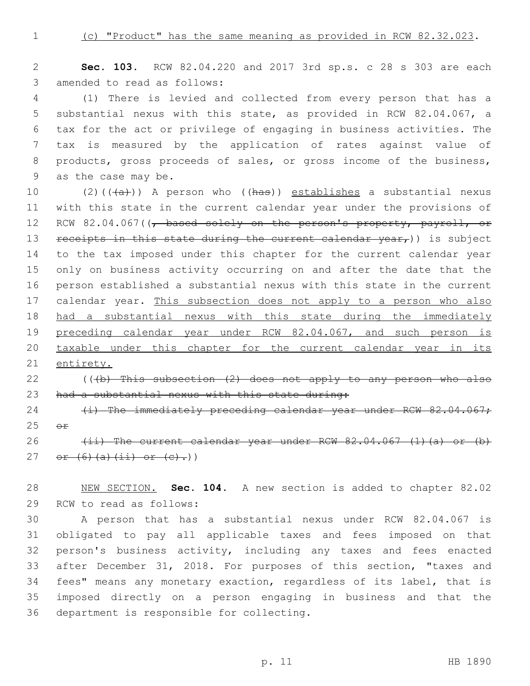1 (c) "Product" has the same meaning as provided in RCW 82.32.023.

2 **Sec. 103.** RCW 82.04.220 and 2017 3rd sp.s. c 28 s 303 are each 3 amended to read as follows:

 (1) There is levied and collected from every person that has a substantial nexus with this state, as provided in RCW 82.04.067, a tax for the act or privilege of engaging in business activities. The tax is measured by the application of rates against value of products, gross proceeds of sales, or gross income of the business, 9 as the case may be.

10 (2)( $(\overline{a})$ ) A person who ( $(has)$ ) establishes a substantial nexus 11 with this state in the current calendar year under the provisions of 12 RCW 82.04.067((, based solely on the person's property, payroll, or 13 receipts in this state during the current calendar  $year<sub>r</sub>)$ ) is subject 14 to the tax imposed under this chapter for the current calendar year 15 only on business activity occurring on and after the date that the 16 person established a substantial nexus with this state in the current 17 calendar year. This subsection does not apply to a person who also 18 had a substantial nexus with this state during the immediately 19 preceding calendar year under RCW 82.04.067, and such person is 20 taxable under this chapter for the current calendar year in its 21 entirety.

# 22  $($  (( $+b$ ) This subsection  $(2)$  does not apply to any person who also 23 had a substantial nexus with this state during:

24 (i) The immediately preceding calendar year under RCW 82.04.067;  $25$   $\Theta$  $\mathbf{f}$ 

26  $(i)$  The current calendar year under RCW  $82.04.067$  (1)(a) or (b) 27 or  $(6)$   $(a)$   $(ii)$  or  $(e)$ .)

28 NEW SECTION. **Sec. 104.** A new section is added to chapter 82.02 29 RCW to read as follows:

 A person that has a substantial nexus under RCW 82.04.067 is obligated to pay all applicable taxes and fees imposed on that person's business activity, including any taxes and fees enacted after December 31, 2018. For purposes of this section, "taxes and fees" means any monetary exaction, regardless of its label, that is imposed directly on a person engaging in business and that the 36 department is responsible for collecting.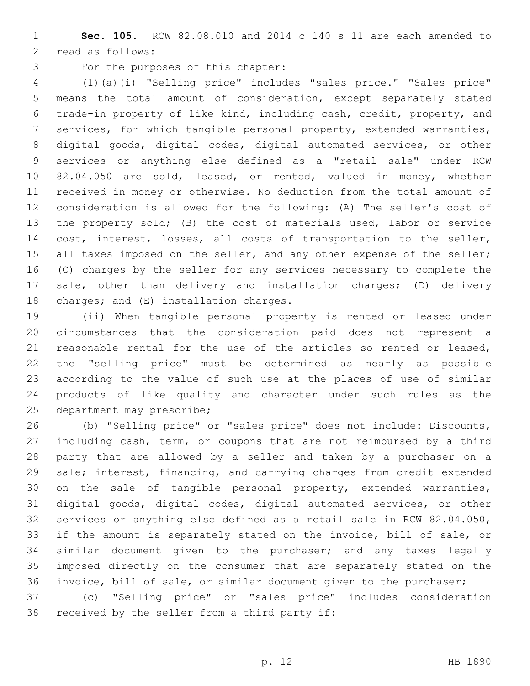**Sec. 105.** RCW 82.08.010 and 2014 c 140 s 11 are each amended to 2 read as follows:

3 For the purposes of this chapter:

 (1)(a)(i) "Selling price" includes "sales price." "Sales price" means the total amount of consideration, except separately stated trade-in property of like kind, including cash, credit, property, and services, for which tangible personal property, extended warranties, digital goods, digital codes, digital automated services, or other services or anything else defined as a "retail sale" under RCW 82.04.050 are sold, leased, or rented, valued in money, whether received in money or otherwise. No deduction from the total amount of consideration is allowed for the following: (A) The seller's cost of the property sold; (B) the cost of materials used, labor or service cost, interest, losses, all costs of transportation to the seller, 15 all taxes imposed on the seller, and any other expense of the seller; (C) charges by the seller for any services necessary to complete the sale, other than delivery and installation charges; (D) delivery 18 charges; and  $(E)$  installation charges.

 (ii) When tangible personal property is rented or leased under circumstances that the consideration paid does not represent a reasonable rental for the use of the articles so rented or leased, the "selling price" must be determined as nearly as possible according to the value of such use at the places of use of similar products of like quality and character under such rules as the 25 department may prescribe;

 (b) "Selling price" or "sales price" does not include: Discounts, including cash, term, or coupons that are not reimbursed by a third party that are allowed by a seller and taken by a purchaser on a sale; interest, financing, and carrying charges from credit extended on the sale of tangible personal property, extended warranties, digital goods, digital codes, digital automated services, or other services or anything else defined as a retail sale in RCW 82.04.050, if the amount is separately stated on the invoice, bill of sale, or similar document given to the purchaser; and any taxes legally imposed directly on the consumer that are separately stated on the invoice, bill of sale, or similar document given to the purchaser; (c) "Selling price" or "sales price" includes consideration

38 received by the seller from a third party if: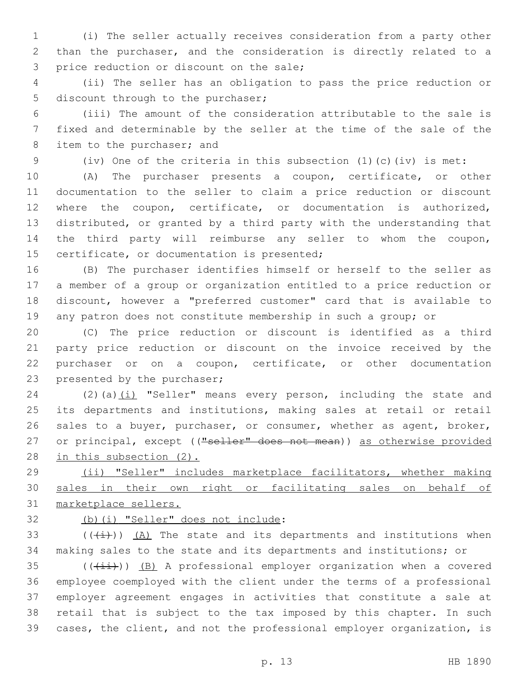(i) The seller actually receives consideration from a party other than the purchaser, and the consideration is directly related to a 3 price reduction or discount on the sale;

 (ii) The seller has an obligation to pass the price reduction or 5 discount through to the purchaser;

 (iii) The amount of the consideration attributable to the sale is fixed and determinable by the seller at the time of the sale of the 8 item to the purchaser; and

(iv) One of the criteria in this subsection (1)(c)(iv) is met:

 (A) The purchaser presents a coupon, certificate, or other documentation to the seller to claim a price reduction or discount where the coupon, certificate, or documentation is authorized, distributed, or granted by a third party with the understanding that the third party will reimburse any seller to whom the coupon, 15 certificate, or documentation is presented;

 (B) The purchaser identifies himself or herself to the seller as a member of a group or organization entitled to a price reduction or discount, however a "preferred customer" card that is available to any patron does not constitute membership in such a group; or

 (C) The price reduction or discount is identified as a third party price reduction or discount on the invoice received by the purchaser or on a coupon, certificate, or other documentation 23 presented by the purchaser;

24 (2)(a) $(i)$  "Seller" means every person, including the state and its departments and institutions, making sales at retail or retail sales to a buyer, purchaser, or consumer, whether as agent, broker, 27 or principal, except (("seller" does not mean)) as otherwise provided in this subsection (2).

 (ii) "Seller" includes marketplace facilitators, whether making sales in their own right or facilitating sales on behalf of marketplace sellers.

(b)(i) "Seller" does not include:

33  $((\overline{i}))(A)$  The state and its departments and institutions when making sales to the state and its departments and institutions; or

 (( $(i+i)$ )) (B) A professional employer organization when a covered employee coemployed with the client under the terms of a professional employer agreement engages in activities that constitute a sale at retail that is subject to the tax imposed by this chapter. In such cases, the client, and not the professional employer organization, is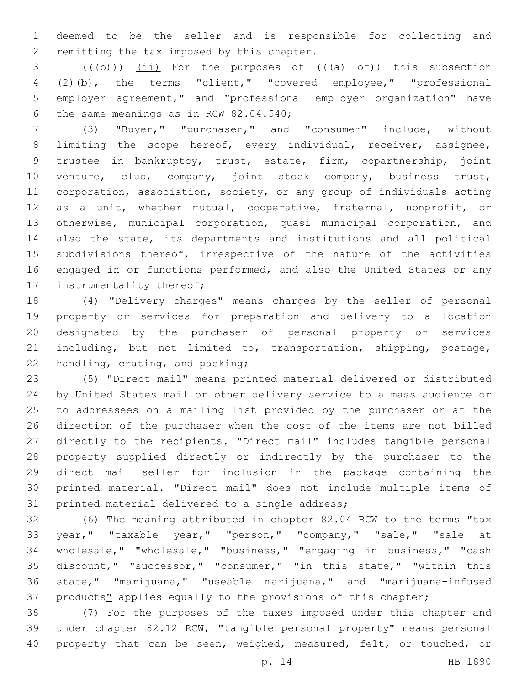deemed to be the seller and is responsible for collecting and 2 remitting the tax imposed by this chapter.

 $((+b))$   $(i)$  For the purposes of  $((+a)$   $-6)$ ) this subsection (2)(b), the terms "client," "covered employee," "professional employer agreement," and "professional employer organization" have 6 the same meanings as in RCW  $82.04.540$ ;

 (3) "Buyer," "purchaser," and "consumer" include, without 8 limiting the scope hereof, every individual, receiver, assignee, trustee in bankruptcy, trust, estate, firm, copartnership, joint venture, club, company, joint stock company, business trust, corporation, association, society, or any group of individuals acting as a unit, whether mutual, cooperative, fraternal, nonprofit, or otherwise, municipal corporation, quasi municipal corporation, and also the state, its departments and institutions and all political 15 subdivisions thereof, irrespective of the nature of the activities engaged in or functions performed, and also the United States or any 17 instrumentality thereof;

 (4) "Delivery charges" means charges by the seller of personal property or services for preparation and delivery to a location designated by the purchaser of personal property or services including, but not limited to, transportation, shipping, postage, 22 handling, crating, and packing;

 (5) "Direct mail" means printed material delivered or distributed by United States mail or other delivery service to a mass audience or to addressees on a mailing list provided by the purchaser or at the direction of the purchaser when the cost of the items are not billed directly to the recipients. "Direct mail" includes tangible personal property supplied directly or indirectly by the purchaser to the direct mail seller for inclusion in the package containing the printed material. "Direct mail" does not include multiple items of 31 printed material delivered to a single address;

 (6) The meaning attributed in chapter 82.04 RCW to the terms "tax year," "taxable year," "person," "company," "sale," "sale at wholesale," "wholesale," "business," "engaging in business," "cash discount," "successor," "consumer," "in this state," "within this state," "marijuana," "useable marijuana," and "marijuana-infused 37 products" applies equally to the provisions of this chapter;

 (7) For the purposes of the taxes imposed under this chapter and under chapter 82.12 RCW, "tangible personal property" means personal 40 property that can be seen, weighed, measured, felt, or touched, or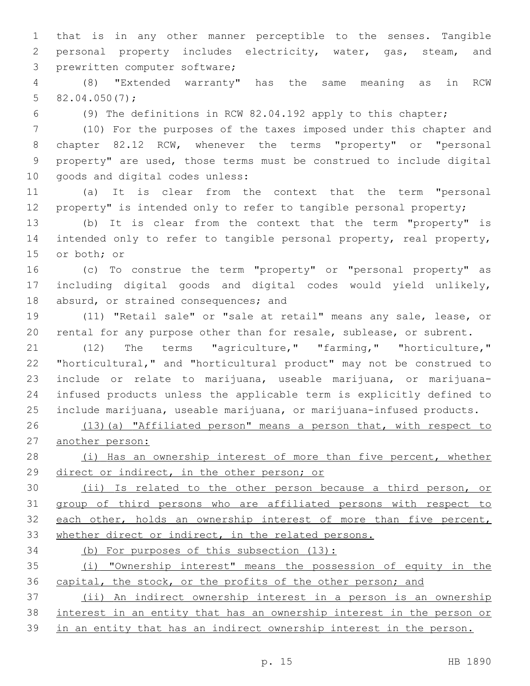that is in any other manner perceptible to the senses. Tangible personal property includes electricity, water, gas, steam, and 3 prewritten computer software;

 (8) "Extended warranty" has the same meaning as in RCW 5  $82.04.050(7)$ ;

(9) The definitions in RCW 82.04.192 apply to this chapter;

 (10) For the purposes of the taxes imposed under this chapter and chapter 82.12 RCW, whenever the terms "property" or "personal property" are used, those terms must be construed to include digital 10 goods and digital codes unless:

 (a) It is clear from the context that the term "personal 12 property" is intended only to refer to tangible personal property;

 (b) It is clear from the context that the term "property" is intended only to refer to tangible personal property, real property, 15 or both; or

 (c) To construe the term "property" or "personal property" as including digital goods and digital codes would yield unlikely, 18 absurd, or strained consequences; and

 (11) "Retail sale" or "sale at retail" means any sale, lease, or rental for any purpose other than for resale, sublease, or subrent.

 (12) The terms "agriculture," "farming," "horticulture," "horticultural," and "horticultural product" may not be construed to include or relate to marijuana, useable marijuana, or marijuana- infused products unless the applicable term is explicitly defined to include marijuana, useable marijuana, or marijuana-infused products.

 (13)(a) "Affiliated person" means a person that, with respect to another person:

28 (i) Has an ownership interest of more than five percent, whether direct or indirect, in the other person; or

 (ii) Is related to the other person because a third person, or group of third persons who are affiliated persons with respect to 32 each other, holds an ownership interest of more than five percent, 33 whether direct or indirect, in the related persons.

34 (b) For purposes of this subsection (13):

 (i) "Ownership interest" means the possession of equity in the 36 capital, the stock, or the profits of the other person; and

 (ii) An indirect ownership interest in a person is an ownership interest in an entity that has an ownership interest in the person or

in an entity that has an indirect ownership interest in the person.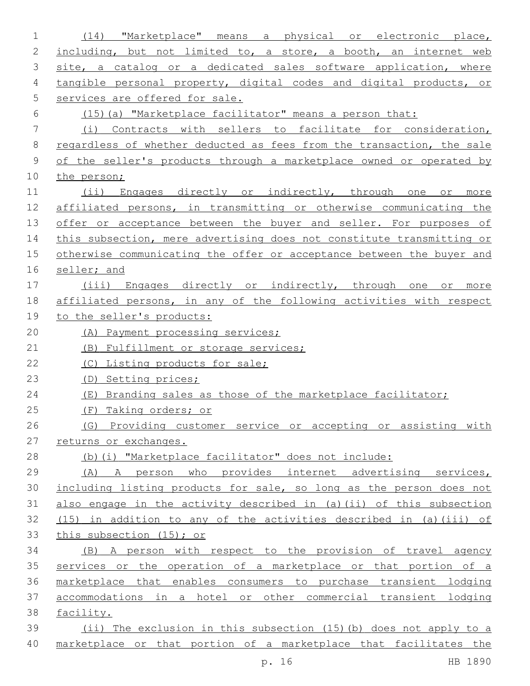| $\mathbf 1$   | "Marketplace" means a physical or electronic place,<br>(14)           |  |  |  |  |  |  |
|---------------|-----------------------------------------------------------------------|--|--|--|--|--|--|
| 2             | including, but not limited to, a store, a booth, an internet web      |  |  |  |  |  |  |
| 3             | site, a catalog or a dedicated sales software application, where      |  |  |  |  |  |  |
| 4             | tangible personal property, digital codes and digital products, or    |  |  |  |  |  |  |
| 5             | services are offered for sale.                                        |  |  |  |  |  |  |
| 6             | (15) (a) "Marketplace facilitator" means a person that:               |  |  |  |  |  |  |
| 7             | (i) Contracts with sellers to facilitate for consideration,           |  |  |  |  |  |  |
| 8             | regardless of whether deducted as fees from the transaction, the sale |  |  |  |  |  |  |
| $\mathcal{G}$ | of the seller's products through a marketplace owned or operated by   |  |  |  |  |  |  |
| 10            | the person;                                                           |  |  |  |  |  |  |
| 11            | (ii) Engages directly or indirectly, through one or more              |  |  |  |  |  |  |
| 12            | affiliated persons, in transmitting or otherwise communicating the    |  |  |  |  |  |  |
| 13            | offer or acceptance between the buyer and seller. For purposes of     |  |  |  |  |  |  |
| 14            | this subsection, mere advertising does not constitute transmitting or |  |  |  |  |  |  |
| 15            | otherwise communicating the offer or acceptance between the buyer and |  |  |  |  |  |  |
| 16            | seller; and                                                           |  |  |  |  |  |  |
| 17            | (iii) Engages directly or indirectly, through one or more             |  |  |  |  |  |  |
| 18            | affiliated persons, in any of the following activities with respect   |  |  |  |  |  |  |
| 19            | to the seller's products:                                             |  |  |  |  |  |  |
| 20            | (A) Payment processing services;                                      |  |  |  |  |  |  |
| 21            | (B) Fulfillment or storage services;                                  |  |  |  |  |  |  |
| 22            | (C) Listing products for sale;                                        |  |  |  |  |  |  |
| 23            | (D) Setting prices;                                                   |  |  |  |  |  |  |
| 24            | (E) Branding sales as those of the marketplace facilitator;           |  |  |  |  |  |  |
| 25            | (F) Taking orders; or                                                 |  |  |  |  |  |  |
| 26            | (G) Providing customer service or accepting or assisting with         |  |  |  |  |  |  |
| 27            | returns or exchanges.                                                 |  |  |  |  |  |  |
| 28            | (b) (i) "Marketplace facilitator" does not include:                   |  |  |  |  |  |  |
| 29            | (A) A person who provides internet advertising services,              |  |  |  |  |  |  |
| 30            | including listing products for sale, so long as the person does not   |  |  |  |  |  |  |
| 31            | also engage in the activity described in (a) (ii) of this subsection  |  |  |  |  |  |  |
| 32            | $(15)$ in addition to any of the activities described in (a)(iii) of  |  |  |  |  |  |  |
| 33            | this subsection (15); or                                              |  |  |  |  |  |  |
| 34            | (B) A person with respect to the provision of travel agency           |  |  |  |  |  |  |
| 35            | services or the operation of a marketplace or that portion of a       |  |  |  |  |  |  |
| 36            | marketplace that enables consumers to purchase transient lodging      |  |  |  |  |  |  |
| 37            | accommodations in a hotel or other commercial transient lodging       |  |  |  |  |  |  |
| 38            | facility.                                                             |  |  |  |  |  |  |
| 39            | (ii) The exclusion in this subsection (15) (b) does not apply to a    |  |  |  |  |  |  |
| 40            | marketplace or that portion of a marketplace that facilitates the     |  |  |  |  |  |  |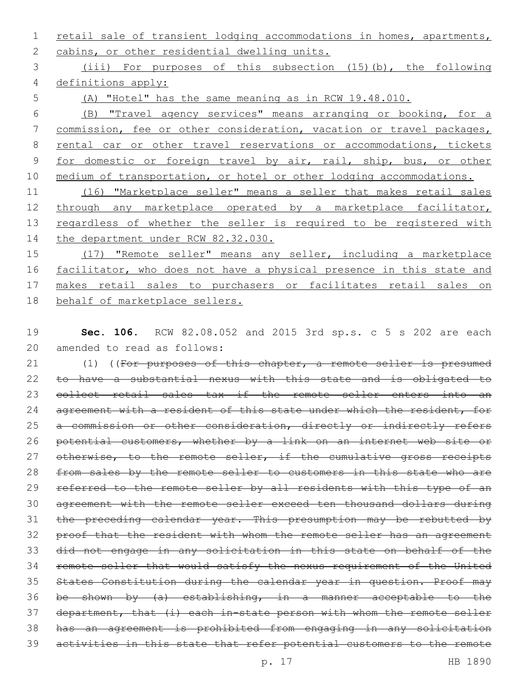1 retail sale of transient lodging accommodations in homes, apartments, 2 cabins, or other residential dwelling units.

3 (iii) For purposes of this subsection (15)(b), the following 4 definitions apply:

5 (A) "Hotel" has the same meaning as in RCW 19.48.010.

6 (B) "Travel agency services" means arranging or booking, for a 7 commission, fee or other consideration, vacation or travel packages, 8 rental car or other travel reservations or accommodations, tickets 9 for domestic or foreign travel by air, rail, ship, bus, or other 10 medium of transportation, or hotel or other lodging accommodations.

11 (16) "Marketplace seller" means a seller that makes retail sales 12 through any marketplace operated by a marketplace facilitator, 13 regardless of whether the seller is required to be registered with 14 the department under RCW 82.32.030.

15 (17) "Remote seller" means any seller, including a marketplace 16 facilitator, who does not have a physical presence in this state and 17 makes retail sales to purchasers or facilitates retail sales on 18 behalf of marketplace sellers.

19 **Sec. 106.** RCW 82.08.052 and 2015 3rd sp.s. c 5 s 202 are each 20 amended to read as follows:

21 (1) ((For purposes of this chapter, a remote seller is presumed 22 to have a substantial nexus with this state and is obligated to 23 collect retail sales tax if the remote seller enters into an 24 agreement with a resident of this state under which the resident, for 25 a commission or other consideration, directly or indirectly refers 26 potential customers, whether by a link on an internet web site or 27 otherwise, to the remote seller, if the cumulative gross receipts 28 from sales by the remote seller to customers in this state who are 29 referred to the remote seller by all residents with this type of an 30 agreement with the remote seller exceed ten thousand dollars during 31 the preceding calendar year. This presumption may be rebutted by 32 proof that the resident with whom the remote seller has an agreement 33 did not engage in any solicitation in this state on behalf of the 34 remote seller that would satisfy the nexus requirement of the United 35 States Constitution during the calendar year in question. Proof may 36 be shown by (a) establishing, in a manner acceptable to the 37 department, that (i) each in-state person with whom the remote seller 38 has an agreement is prohibited from engaging in any solicitation 39 activities in this state that refer potential customers to the remote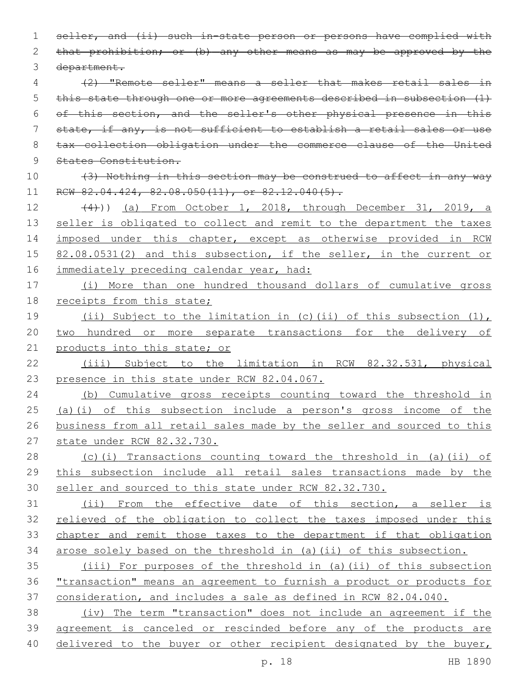seller, and (ii) such in-state person or persons have complied with 2 that prohibition; or (b) any other means as may be approved by the 3 department. (2) "Remote seller" means a seller that makes retail sales in this state through one or more agreements described in subsection (1) of this section, and the seller's other physical presence in this state, if any, is not sufficient to establish a retail sales or use tax collection obligation under the commerce clause of the United States Constitution. (3) Nothing in this section may be construed to affect in any way

 (4))) (a) From October 1, 2018, through December 31, 2019, a 13 seller is obligated to collect and remit to the department the taxes 14 imposed under this chapter, except as otherwise provided in RCW 15 82.08.0531(2) and this subsection, if the seller, in the current or 16 immediately preceding calendar year, had:

11 RCW 82.04.424, 82.08.050(11), or 82.12.040(5).

 (i) More than one hundred thousand dollars of cumulative gross 18 receipts from this state;

 (ii) Subject to the limitation in (c)(ii) of this subsection (1), two hundred or more separate transactions for the delivery of 21 products into this state; or

 (iii) Subject to the limitation in RCW 82.32.531, physical 23 presence in this state under RCW 82.04.067.

 (b) Cumulative gross receipts counting toward the threshold in (a)(i) of this subsection include a person's gross income of the business from all retail sales made by the seller and sourced to this state under RCW 82.32.730.

 (c)(i) Transactions counting toward the threshold in (a)(ii) of this subsection include all retail sales transactions made by the seller and sourced to this state under RCW 82.32.730.

 (ii) From the effective date of this section, a seller is 32 relieved of the obligation to collect the taxes imposed under this chapter and remit those taxes to the department if that obligation arose solely based on the threshold in (a)(ii) of this subsection.

 (iii) For purposes of the threshold in (a)(ii) of this subsection "transaction" means an agreement to furnish a product or products for consideration, and includes a sale as defined in RCW 82.04.040.

 (iv) The term "transaction" does not include an agreement if the agreement is canceled or rescinded before any of the products are 40 delivered to the buyer or other recipient designated by the buyer,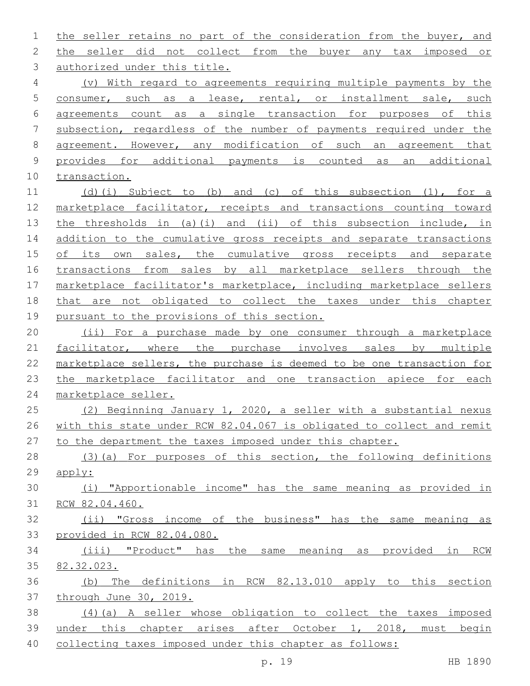the seller retains no part of the consideration from the buyer, and the seller did not collect from the buyer any tax imposed or 3 authorized under this title. (v) With regard to agreements requiring multiple payments by the consumer, such as a lease, rental, or installment sale, such agreements count as a single transaction for purposes of this subsection, regardless of the number of payments required under the agreement. However, any modification of such an agreement that provides for additional payments is counted as an additional transaction. (d)(i) Subject to (b) and (c) of this subsection (1), for a marketplace facilitator, receipts and transactions counting toward the thresholds in (a)(i) and (ii) of this subsection include, in 14 addition to the cumulative gross receipts and separate transactions 15 of its own sales, the cumulative gross receipts and separate transactions from sales by all marketplace sellers through the marketplace facilitator's marketplace, including marketplace sellers that are not obligated to collect the taxes under this chapter pursuant to the provisions of this section. (ii) For a purchase made by one consumer through a marketplace 21 facilitator, where the purchase involves sales by multiple marketplace sellers, the purchase is deemed to be one transaction for 23 the marketplace facilitator and one transaction apiece for each marketplace seller. (2) Beginning January 1, 2020, a seller with a substantial nexus with this state under RCW 82.04.067 is obligated to collect and remit to the department the taxes imposed under this chapter. (3)(a) For purposes of this section, the following definitions apply: (i) "Apportionable income" has the same meaning as provided in RCW 82.04.460. (ii) "Gross income of the business" has the same meaning as provided in RCW 82.04.080. (iii) "Product" has the same meaning as provided in RCW 82.32.023. (b) The definitions in RCW 82.13.010 apply to this section through June 30, 2019. (4)(a) A seller whose obligation to collect the taxes imposed under this chapter arises after October 1, 2018, must begin

collecting taxes imposed under this chapter as follows: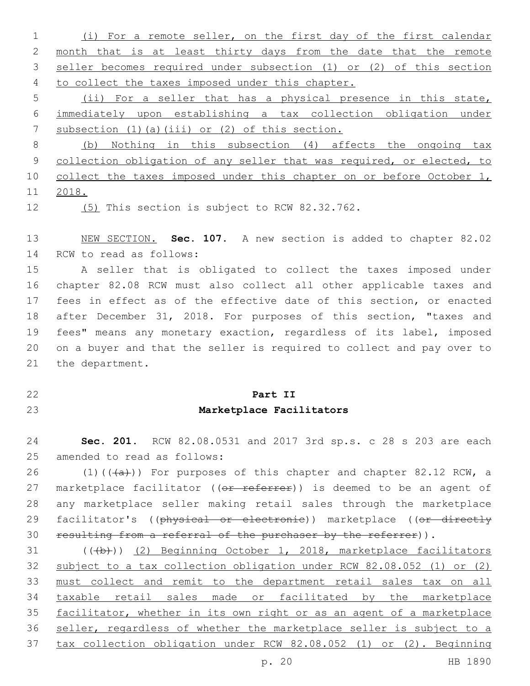(i) For a remote seller, on the first day of the first calendar month that is at least thirty days from the date that the remote seller becomes required under subsection (1) or (2) of this section 4 to collect the taxes imposed under this chapter.

 (ii) For a seller that has a physical presence in this state, immediately upon establishing a tax collection obligation under 7 subsection (1)(a)(iii) or (2) of this section.

 (b) Nothing in this subsection (4) affects the ongoing tax 9 collection obligation of any seller that was required, or elected, to 10 collect the taxes imposed under this chapter on or before October 1, 2018.

12 (5) This section is subject to RCW 82.32.762.

 NEW SECTION. **Sec. 107.** A new section is added to chapter 82.02 14 RCW to read as follows:

 A seller that is obligated to collect the taxes imposed under chapter 82.08 RCW must also collect all other applicable taxes and fees in effect as of the effective date of this section, or enacted after December 31, 2018. For purposes of this section, "taxes and fees" means any monetary exaction, regardless of its label, imposed on a buyer and that the seller is required to collect and pay over to 21 the department.

#### **Part II**

## **Marketplace Facilitators**

 **Sec. 201.** RCW 82.08.0531 and 2017 3rd sp.s. c 28 s 203 are each 25 amended to read as follows:

26 (1)( $(\overline{a})$ ) For purposes of this chapter and chapter 82.12 RCW, a 27 marketplace facilitator ((or referrer)) is deemed to be an agent of any marketplace seller making retail sales through the marketplace 29 facilitator's ((physical or electronic)) marketplace ((or directly 30 resulting from a referral of the purchaser by the referrer)).

31 (((b))) (2) Beginning October 1, 2018, marketplace facilitators subject to a tax collection obligation under RCW 82.08.052 (1) or (2) must collect and remit to the department retail sales tax on all taxable retail sales made or facilitated by the marketplace facilitator, whether in its own right or as an agent of a marketplace seller, regardless of whether the marketplace seller is subject to a tax collection obligation under RCW 82.08.052 (1) or (2). Beginning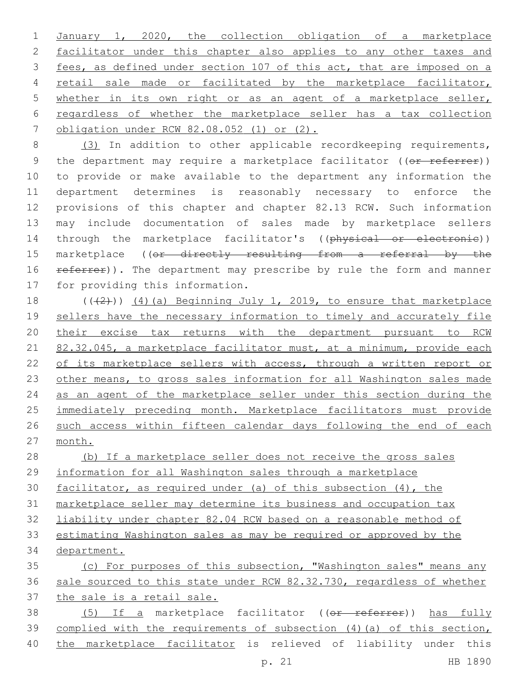1 January 1, 2020, the collection obligation of a marketplace 2 facilitator under this chapter also applies to any other taxes and 3 fees, as defined under section 107 of this act, that are imposed on a 4 retail sale made or facilitated by the marketplace facilitator, 5 whether in its own right or as an agent of a marketplace seller, 6 regardless of whether the marketplace seller has a tax collection 7 obligation under RCW 82.08.052 (1) or (2).

8 (3) In addition to other applicable recordkeeping requirements, 9 the department may require a marketplace facilitator ((or referrer)) 10 to provide or make available to the department any information the 11 department determines is reasonably necessary to enforce the 12 provisions of this chapter and chapter 82.13 RCW. Such information 13 may include documentation of sales made by marketplace sellers 14 through the marketplace facilitator's ((physical or electronic)) 15 marketplace ((or directly resulting from a referral by the 16 referrer)). The department may prescribe by rule the form and manner 17 for providing this information.

18  $((+2+))$  (4)(a) Beginning July 1, 2019, to ensure that marketplace 19 sellers have the necessary information to timely and accurately file 20 their excise tax returns with the department pursuant to RCW 21 82.32.045, a marketplace facilitator must, at a minimum, provide each 22 of its marketplace sellers with access, through a written report or 23 other means, to gross sales information for all Washington sales made 24 as an agent of the marketplace seller under this section during the 25 immediately preceding month. Marketplace facilitators must provide 26 such access within fifteen calendar days following the end of each 27 month.

 (b) If a marketplace seller does not receive the gross sales information for all Washington sales through a marketplace facilitator, as required under (a) of this subsection (4), the marketplace seller may determine its business and occupation tax liability under chapter 82.04 RCW based on a reasonable method of estimating Washington sales as may be required or approved by the department. (c) For purposes of this subsection, "Washington sales" means any sale sourced to this state under RCW 82.32.730, regardless of whether the sale is a retail sale. 38 (5) If a marketplace facilitator ((or referrer)) has fully complied with the requirements of subsection (4)(a) of this section,

40 the marketplace facilitator is relieved of liability under this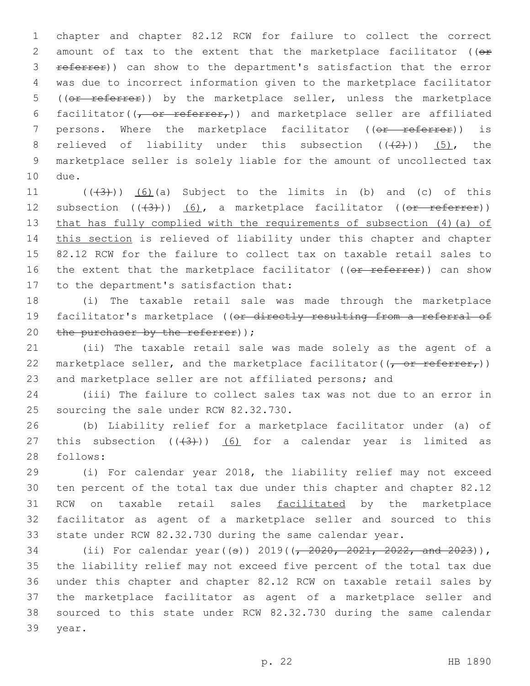1 chapter and chapter 82.12 RCW for failure to collect the correct 2 amount of tax to the extent that the marketplace facilitator ((or 3 referrer)) can show to the department's satisfaction that the error 4 was due to incorrect information given to the marketplace facilitator 5 ((or referrer)) by the marketplace seller, unless the marketplace 6 facilitator( $(\tau$  or referrer,)) and marketplace seller are affiliated 7 persons. Where the marketplace facilitator ((or referrer)) is 8 relieved of liability under this subsection  $((+2+))$  (5), the 9 marketplace seller is solely liable for the amount of uncollected tax 10 due.

11  $((+3+))$   $(6)$  (a) Subject to the limits in (b) and (c) of this 12 subsection  $((+3))$   $(6)$ , a marketplace facilitator  $((or *reference*))$ 13 that has fully complied with the requirements of subsection (4)(a) of 14 this section is relieved of liability under this chapter and chapter 15 82.12 RCW for the failure to collect tax on taxable retail sales to 16 the extent that the marketplace facilitator ((or referrer)) can show 17 to the department's satisfaction that:

18 (i) The taxable retail sale was made through the marketplace 19 facilitator's marketplace ((or directly resulting from a referral of 20 the purchaser by the referrer)  $\gamma$ ;

21 (ii) The taxable retail sale was made solely as the agent of a 22 marketplace seller, and the marketplace facilitator( $(\tau$  or referrer,)) 23 and marketplace seller are not affiliated persons; and

24 (iii) The failure to collect sales tax was not due to an error in 25 sourcing the sale under RCW 82.32.730.

26 (b) Liability relief for a marketplace facilitator under (a) of 27 this subsection  $((+3+))$  (6) for a calendar year is limited as 28 follows:

 (i) For calendar year 2018, the liability relief may not exceed ten percent of the total tax due under this chapter and chapter 82.12 RCW on taxable retail sales facilitated by the marketplace facilitator as agent of a marketplace seller and sourced to this state under RCW 82.32.730 during the same calendar year.

34 (ii) For calendar year((s)) 2019( $\left(-2020, 2021, 2022,$  and 2023)), the liability relief may not exceed five percent of the total tax due under this chapter and chapter 82.12 RCW on taxable retail sales by the marketplace facilitator as agent of a marketplace seller and sourced to this state under RCW 82.32.730 during the same calendar 39 year.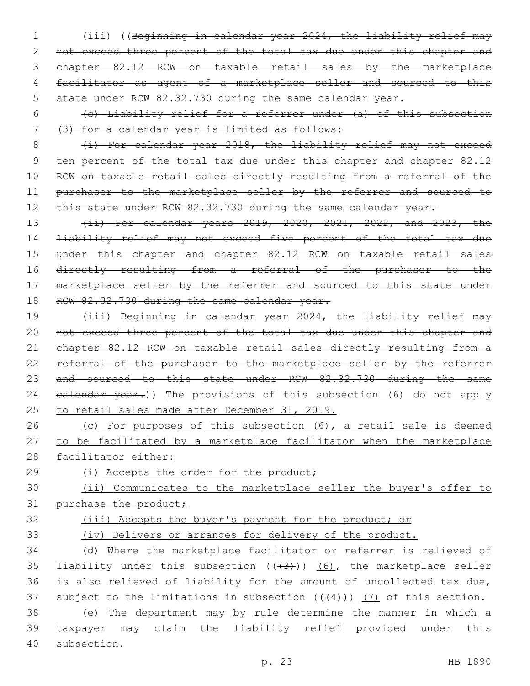- 1 (iii) ((Beginning in calendar year 2024, the liability relief may 2 not exceed three percent of the total tax due under this chapter and 3 chapter 82.12 RCW on taxable retail sales by the marketplace 4 facilitator as agent of a marketplace seller and sourced to this 5 state under RCW 82.32.730 during the same calendar year.
- 6 (c) Liability relief for a referrer under (a) of this subsection 7 (3) for a calendar year is limited as follows:

8 (i) For calendar year 2018, the liability relief may not exceed 9 ten percent of the total tax due under this chapter and chapter 82.12 10 RCW on taxable retail sales directly resulting from a referral of the 11 purchaser to the marketplace seller by the referrer and sourced to 12 this state under RCW 82.32.730 during the same calendar year.

13 (ii) For calendar years 2019, 2020, 2021, 2022, and 2023, the 14 liability relief may not exceed five percent of the total tax due 15 under this chapter and chapter 82.12 RCW on taxable retail sales 16 directly resulting from a referral of the purchaser to the 17 marketplace seller by the referrer and sourced to this state under 18 RCW 82.32.730 during the same calendar year.

19 (iii) Beginning in calendar year 2024, the liability relief may 20 not exceed three percent of the total tax due under this chapter and 21 chapter 82.12 RCW on taxable retail sales directly resulting from a 22 referral of the purchaser to the marketplace seller by the referrer 23 and sourced to this state under RCW 82.32.730 during the same 24 ealendar year.)) The provisions of this subsection (6) do not apply 25 to retail sales made after December 31, 2019.

- 26 (c) For purposes of this subsection (6), a retail sale is deemed 27 to be facilitated by a marketplace facilitator when the marketplace 28 facilitator either:
- 

29 (i) Accepts the order for the product;

30 (ii) Communicates to the marketplace seller the buyer's offer to 31 purchase the product;

32 (iii) Accepts the buyer's payment for the product; or

33 (iv) Delivers or arranges for delivery of the product.

34 (d) Where the marketplace facilitator or referrer is relieved of 35 liability under this subsection  $((+3+))$   $(6)$ , the marketplace seller 36 is also relieved of liability for the amount of uncollected tax due, 37 subject to the limitations in subsection  $((+4))$  (7) of this section.

38 (e) The department may by rule determine the manner in which a 39 taxpayer may claim the liability relief provided under this 40 subsection.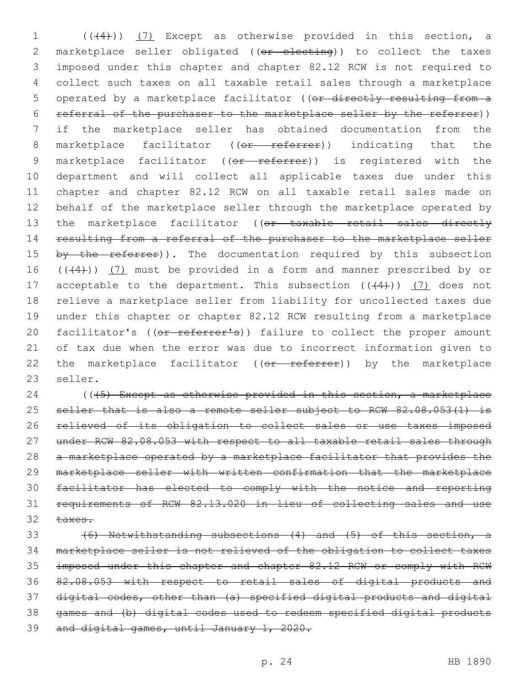1 (((4))) (7) Except as otherwise provided in this section, a 2 marketplace seller obligated ((or electing)) to collect the taxes 3 imposed under this chapter and chapter 82.12 RCW is not required to 4 collect such taxes on all taxable retail sales through a marketplace 5 operated by a marketplace facilitator ((or directly resulting from a 6 referral of the purchaser to the marketplace seller by the referrer)) 7 if the marketplace seller has obtained documentation from the 8 marketplace facilitator ((or referrer)) indicating that the 9 marketplace facilitator ((or referrer)) is registered with the 10 department and will collect all applicable taxes due under this 11 chapter and chapter 82.12 RCW on all taxable retail sales made on 12 behalf of the marketplace seller through the marketplace operated by 13 the marketplace facilitator ((or taxable retail sales directly 14 resulting from a referral of the purchaser to the marketplace seller 15 by the referrer)). The documentation required by this subsection 16  $((+4))$   $(7)$  must be provided in a form and manner prescribed by or 17 acceptable to the department. This subsection  $((+4))$  (7) does not 18 relieve a marketplace seller from liability for uncollected taxes due 19 under this chapter or chapter 82.12 RCW resulting from a marketplace 20 facilitator's ((or referrer's)) failure to collect the proper amount 21 of tax due when the error was due to incorrect information given to 22 the marketplace facilitator ((or referrer)) by the marketplace 23 seller.

24 ((45) Except as otherwise provided in this section, a marketplace 25 seller that is also a remote seller subject to RCW 82.08.053(1) is relieved of its obligation to collect sales or use taxes imposed under RCW 82.08.053 with respect to all taxable retail sales through a marketplace operated by a marketplace facilitator that provides the marketplace seller with written confirmation that the marketplace facilitator has elected to comply with the notice and reporting requirements of RCW 82.13.020 in lieu of collecting sales and use 32 taxes.

 (6) Notwithstanding subsections (4) and (5) of this section, a marketplace seller is not relieved of the obligation to collect taxes imposed under this chapter and chapter 82.12 RCW or comply with RCW 82.08.053 with respect to retail sales of digital products and digital codes, other than (a) specified digital products and digital games and (b) digital codes used to redeem specified digital products and digital games, until January 1, 2020.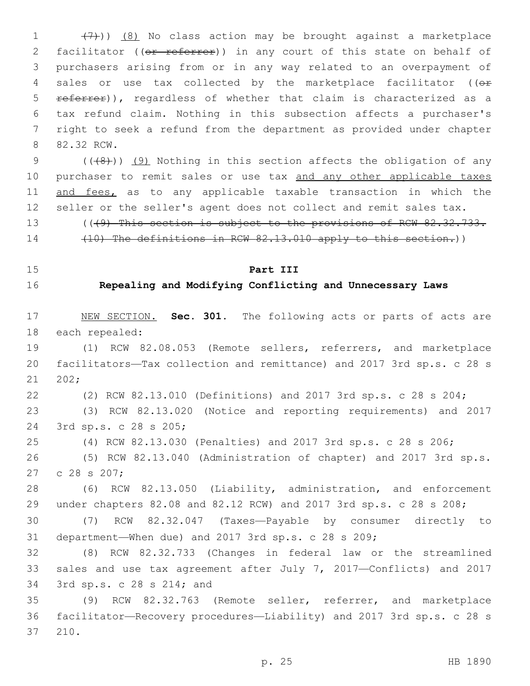1  $(7)$ )) (8) No class action may be brought against a marketplace 2 facilitator ((or referrer)) in any court of this state on behalf of 3 purchasers arising from or in any way related to an overpayment of 4 sales or use tax collected by the marketplace facilitator (( $\theta$ r 5 referrer)), regardless of whether that claim is characterized as a 6 tax refund claim. Nothing in this subsection affects a purchaser's 7 right to seek a refund from the department as provided under chapter 8 82.32 RCW.

9  $((+8))$  (9) Nothing in this section affects the obligation of any 10 purchaser to remit sales or use tax and any other applicable taxes 11 and fees, as to any applicable taxable transaction in which the 12 seller or the seller's agent does not collect and remit sales tax.

13 (((9) This section is subject to the provisions of RCW 82.32.733. 14 (10) The definitions in RCW 82.13.010 apply to this section.))

### 15 **Part III**

## 16 **Repealing and Modifying Conflicting and Unnecessary Laws**

17 NEW SECTION. **Sec. 301.** The following acts or parts of acts are 18 each repealed:

19 (1) RCW 82.08.053 (Remote sellers, referrers, and marketplace 20 facilitators—Tax collection and remittance) and 2017 3rd sp.s. c 28 s 202;

22 (2) RCW 82.13.010 (Definitions) and 2017 3rd sp.s. c 28 s 204;

23 (3) RCW 82.13.020 (Notice and reporting requirements) and 2017 3rd sp.s. c 28 s 205;24

25 (4) RCW 82.13.030 (Penalties) and 2017 3rd sp.s. c 28 s 206;

26 (5) RCW 82.13.040 (Administration of chapter) and 2017 3rd sp.s. 27 c 28 s 207;

28 (6) RCW 82.13.050 (Liability, administration, and enforcement 29 under chapters 82.08 and 82.12 RCW) and 2017 3rd sp.s. c 28 s 208;

30 (7) RCW 82.32.047 (Taxes—Payable by consumer directly to 31 department—When due) and 2017 3rd sp.s. c 28 s 209;

32 (8) RCW 82.32.733 (Changes in federal law or the streamlined 33 sales and use tax agreement after July 7, 2017—Conflicts) and 2017 34 3rd sp.s. c 28 s 214; and

35 (9) RCW 82.32.763 (Remote seller, referrer, and marketplace 36 facilitator—Recovery procedures—Liability) and 2017 3rd sp.s. c 28 s 37 210.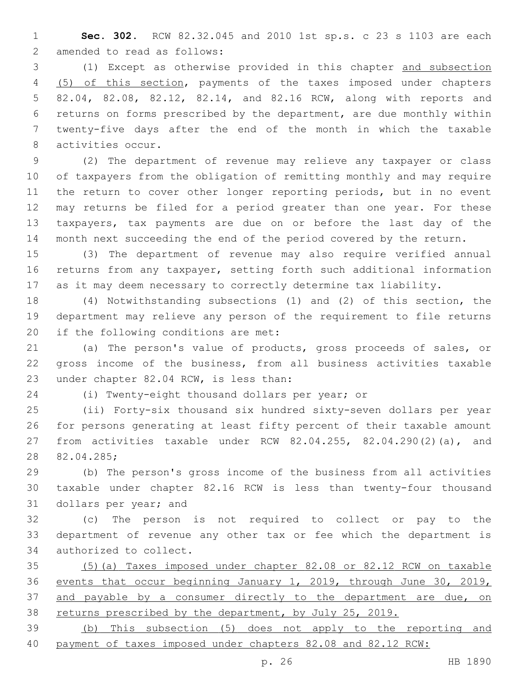**Sec. 302.** RCW 82.32.045 and 2010 1st sp.s. c 23 s 1103 are each 2 amended to read as follows:

 (1) Except as otherwise provided in this chapter and subsection (5) of this section, payments of the taxes imposed under chapters 82.04, 82.08, 82.12, 82.14, and 82.16 RCW, along with reports and returns on forms prescribed by the department, are due monthly within twenty-five days after the end of the month in which the taxable 8 activities occur.

 (2) The department of revenue may relieve any taxpayer or class of taxpayers from the obligation of remitting monthly and may require 11 the return to cover other longer reporting periods, but in no event may returns be filed for a period greater than one year. For these taxpayers, tax payments are due on or before the last day of the month next succeeding the end of the period covered by the return.

 (3) The department of revenue may also require verified annual returns from any taxpayer, setting forth such additional information as it may deem necessary to correctly determine tax liability.

 (4) Notwithstanding subsections (1) and (2) of this section, the department may relieve any person of the requirement to file returns 20 if the following conditions are met:

 (a) The person's value of products, gross proceeds of sales, or gross income of the business, from all business activities taxable 23 under chapter 82.04 RCW, is less than:

(i) Twenty-eight thousand dollars per year; or

 (ii) Forty-six thousand six hundred sixty-seven dollars per year for persons generating at least fifty percent of their taxable amount from activities taxable under RCW 82.04.255, 82.04.290(2)(a), and 28 82.04.285;

 (b) The person's gross income of the business from all activities taxable under chapter 82.16 RCW is less than twenty-four thousand 31 dollars per year; and

 (c) The person is not required to collect or pay to the department of revenue any other tax or fee which the department is 34 authorized to collect.

 (5)(a) Taxes imposed under chapter 82.08 or 82.12 RCW on taxable events that occur beginning January 1, 2019, through June 30, 2019, 37 and payable by a consumer directly to the department are due, on 38 returns prescribed by the department, by July 25, 2019.

 (b) This subsection (5) does not apply to the reporting and payment of taxes imposed under chapters 82.08 and 82.12 RCW: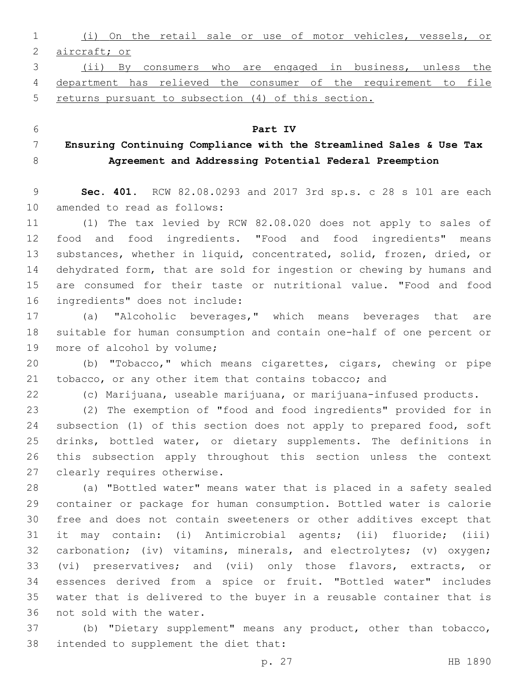(i) On the retail sale or use of motor vehicles, vessels, or aircraft; or (ii) By consumers who are engaged in business, unless the

 department has relieved the consumer of the requirement to file returns pursuant to subsection (4) of this section.

 **Ensuring Continuing Compliance with the Streamlined Sales & Use Tax Agreement and Addressing Potential Federal Preemption**

**Part IV**

 **Sec. 401.** RCW 82.08.0293 and 2017 3rd sp.s. c 28 s 101 are each 10 amended to read as follows:

 (1) The tax levied by RCW 82.08.020 does not apply to sales of food and food ingredients. "Food and food ingredients" means substances, whether in liquid, concentrated, solid, frozen, dried, or dehydrated form, that are sold for ingestion or chewing by humans and are consumed for their taste or nutritional value. "Food and food 16 ingredients" does not include:

 (a) "Alcoholic beverages," which means beverages that are suitable for human consumption and contain one-half of one percent or 19 more of alcohol by volume;

 (b) "Tobacco," which means cigarettes, cigars, chewing or pipe tobacco, or any other item that contains tobacco; and

(c) Marijuana, useable marijuana, or marijuana-infused products.

 (2) The exemption of "food and food ingredients" provided for in subsection (1) of this section does not apply to prepared food, soft drinks, bottled water, or dietary supplements. The definitions in this subsection apply throughout this section unless the context 27 clearly requires otherwise.

 (a) "Bottled water" means water that is placed in a safety sealed container or package for human consumption. Bottled water is calorie free and does not contain sweeteners or other additives except that it may contain: (i) Antimicrobial agents; (ii) fluoride; (iii) carbonation; (iv) vitamins, minerals, and electrolytes; (v) oxygen; (vi) preservatives; and (vii) only those flavors, extracts, or essences derived from a spice or fruit. "Bottled water" includes water that is delivered to the buyer in a reusable container that is 36 not sold with the water.

 (b) "Dietary supplement" means any product, other than tobacco, 38 intended to supplement the diet that: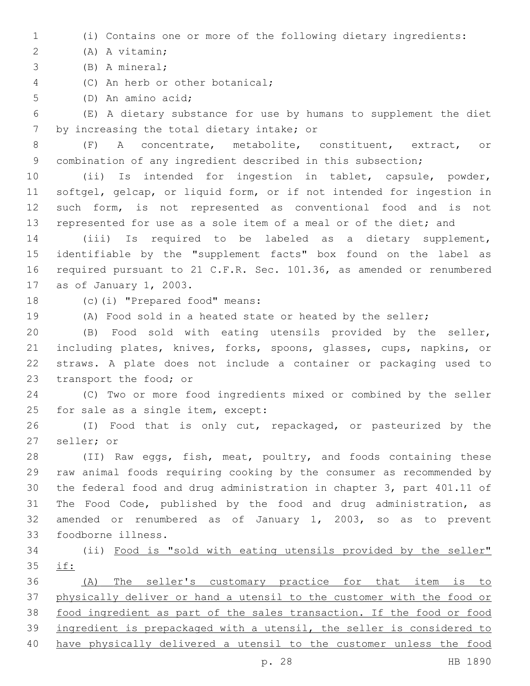(i) Contains one or more of the following dietary ingredients:

(A) A vitamin;2

(B) A mineral;3

4 (C) An herb or other botanical;

5 (D) An amino acid;

 (E) A dietary substance for use by humans to supplement the diet 7 by increasing the total dietary intake; or

 (F) A concentrate, metabolite, constituent, extract, or combination of any ingredient described in this subsection;

 (ii) Is intended for ingestion in tablet, capsule, powder, softgel, gelcap, or liquid form, or if not intended for ingestion in such form, is not represented as conventional food and is not represented for use as a sole item of a meal or of the diet; and

 (iii) Is required to be labeled as a dietary supplement, identifiable by the "supplement facts" box found on the label as required pursuant to 21 C.F.R. Sec. 101.36, as amended or renumbered 17 as of January 1, 2003.

18 (c)(i) "Prepared food" means:

(A) Food sold in a heated state or heated by the seller;

 (B) Food sold with eating utensils provided by the seller, including plates, knives, forks, spoons, glasses, cups, napkins, or straws. A plate does not include a container or packaging used to 23 transport the food; or

 (C) Two or more food ingredients mixed or combined by the seller 25 for sale as a single item, except:

 (I) Food that is only cut, repackaged, or pasteurized by the 27 seller; or

 (II) Raw eggs, fish, meat, poultry, and foods containing these raw animal foods requiring cooking by the consumer as recommended by the federal food and drug administration in chapter 3, part 401.11 of The Food Code, published by the food and drug administration, as amended or renumbered as of January 1, 2003, so as to prevent foodborne illness.33

 (ii) Food is "sold with eating utensils provided by the seller" if:

 (A) The seller's customary practice for that item is to physically deliver or hand a utensil to the customer with the food or food ingredient as part of the sales transaction. If the food or food ingredient is prepackaged with a utensil, the seller is considered to have physically delivered a utensil to the customer unless the food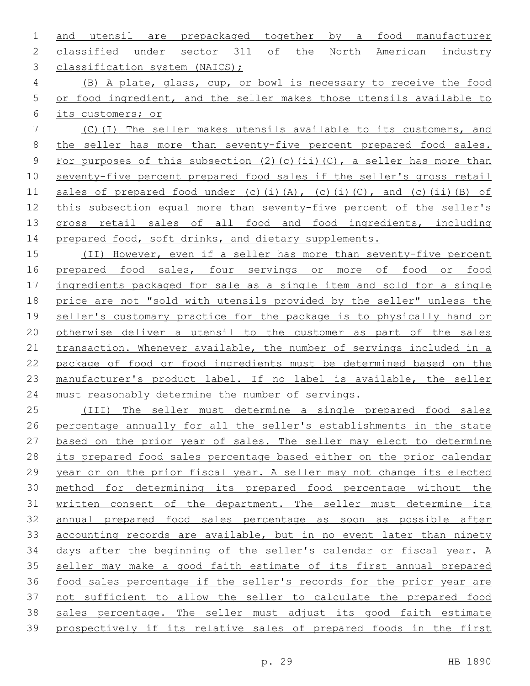and utensil are prepackaged together by a food manufacturer classified under sector 311 of the North American industry 3 classification system (NAICS);

 (B) A plate, glass, cup, or bowl is necessary to receive the food or food ingredient, and the seller makes those utensils available to its customers; or

 (C)(I) The seller makes utensils available to its customers, and the seller has more than seventy-five percent prepared food sales. 9 For purposes of this subsection (2)(c)(ii)(C), a seller has more than seventy-five percent prepared food sales if the seller's gross retail 11 sales of prepared food under (c)(i)(A), (c)(i)(C), and (c)(ii)(B) of this subsection equal more than seventy-five percent of the seller's gross retail sales of all food and food ingredients, including 14 prepared food, soft drinks, and dietary supplements.

 (II) However, even if a seller has more than seventy-five percent 16 prepared food sales, four servings or more of food or food ingredients packaged for sale as a single item and sold for a single price are not "sold with utensils provided by the seller" unless the seller's customary practice for the package is to physically hand or otherwise deliver a utensil to the customer as part of the sales 21 transaction. Whenever available, the number of servings included in a package of food or food ingredients must be determined based on the manufacturer's product label. If no label is available, the seller must reasonably determine the number of servings.

 (III) The seller must determine a single prepared food sales percentage annually for all the seller's establishments in the state based on the prior year of sales. The seller may elect to determine its prepared food sales percentage based either on the prior calendar year or on the prior fiscal year. A seller may not change its elected method for determining its prepared food percentage without the written consent of the department. The seller must determine its annual prepared food sales percentage as soon as possible after 33 accounting records are available, but in no event later than ninety days after the beginning of the seller's calendar or fiscal year. A seller may make a good faith estimate of its first annual prepared food sales percentage if the seller's records for the prior year are not sufficient to allow the seller to calculate the prepared food sales percentage. The seller must adjust its good faith estimate prospectively if its relative sales of prepared foods in the first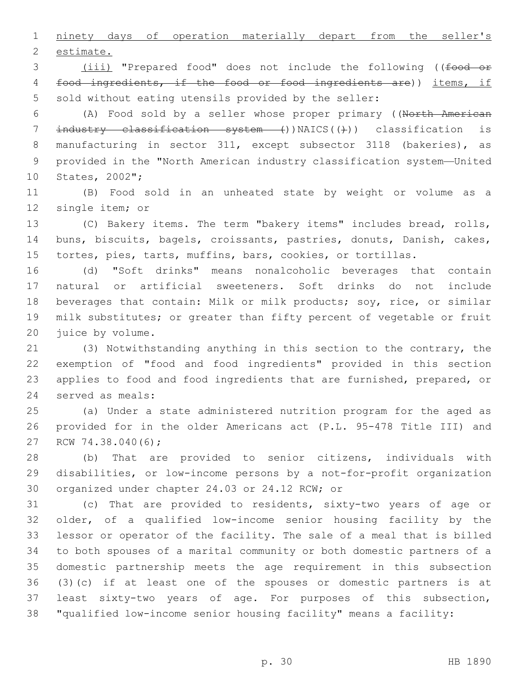ninety days of operation materially depart from the seller's 2 estimate.

3 (iii) "Prepared food" does not include the following ((food or food ingredients, if the food or food ingredients are)) items, if sold without eating utensils provided by the seller:

 (A) Food sold by a seller whose proper primary ((North American 7 industry classification system ())NAICS(())) classification is manufacturing in sector 311, except subsector 3118 (bakeries), as provided in the "North American industry classification system—United 10 States, 2002";

 (B) Food sold in an unheated state by weight or volume as a 12 single item; or

 (C) Bakery items. The term "bakery items" includes bread, rolls, buns, biscuits, bagels, croissants, pastries, donuts, Danish, cakes, tortes, pies, tarts, muffins, bars, cookies, or tortillas.

 (d) "Soft drinks" means nonalcoholic beverages that contain natural or artificial sweeteners. Soft drinks do not include beverages that contain: Milk or milk products; soy, rice, or similar milk substitutes; or greater than fifty percent of vegetable or fruit 20 juice by volume.

 (3) Notwithstanding anything in this section to the contrary, the exemption of "food and food ingredients" provided in this section applies to food and food ingredients that are furnished, prepared, or 24 served as meals:

 (a) Under a state administered nutrition program for the aged as provided for in the older Americans act (P.L. 95-478 Title III) and 27 RCW 74.38.040(6);

 (b) That are provided to senior citizens, individuals with disabilities, or low-income persons by a not-for-profit organization 30 organized under chapter 24.03 or 24.12 RCW; or

 (c) That are provided to residents, sixty-two years of age or older, of a qualified low-income senior housing facility by the lessor or operator of the facility. The sale of a meal that is billed to both spouses of a marital community or both domestic partners of a domestic partnership meets the age requirement in this subsection (3)(c) if at least one of the spouses or domestic partners is at least sixty-two years of age. For purposes of this subsection, "qualified low-income senior housing facility" means a facility: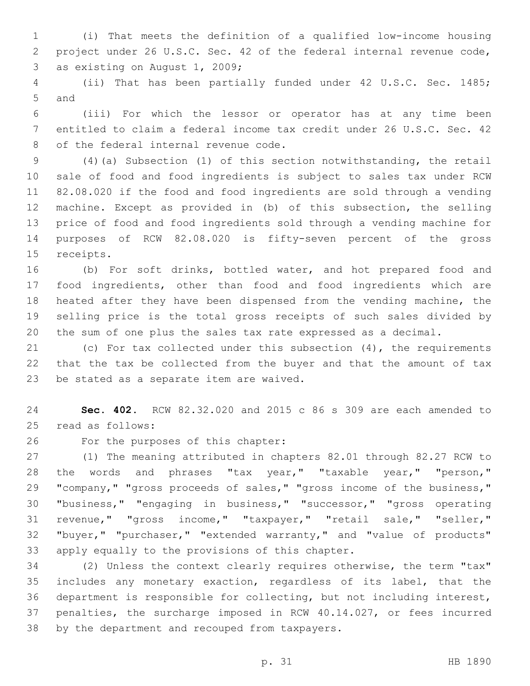(i) That meets the definition of a qualified low-income housing project under 26 U.S.C. Sec. 42 of the federal internal revenue code, 3 as existing on August 1, 2009;

 (ii) That has been partially funded under 42 U.S.C. Sec. 1485; 5 and

 (iii) For which the lessor or operator has at any time been entitled to claim a federal income tax credit under 26 U.S.C. Sec. 42 8 of the federal internal revenue code.

 (4)(a) Subsection (1) of this section notwithstanding, the retail sale of food and food ingredients is subject to sales tax under RCW 82.08.020 if the food and food ingredients are sold through a vending machine. Except as provided in (b) of this subsection, the selling price of food and food ingredients sold through a vending machine for purposes of RCW 82.08.020 is fifty-seven percent of the gross 15 receipts.

 (b) For soft drinks, bottled water, and hot prepared food and food ingredients, other than food and food ingredients which are heated after they have been dispensed from the vending machine, the selling price is the total gross receipts of such sales divided by the sum of one plus the sales tax rate expressed as a decimal.

 (c) For tax collected under this subsection (4), the requirements that the tax be collected from the buyer and that the amount of tax 23 be stated as a separate item are waived.

 **Sec. 402.** RCW 82.32.020 and 2015 c 86 s 309 are each amended to 25 read as follows:

26 For the purposes of this chapter:

 (1) The meaning attributed in chapters 82.01 through 82.27 RCW to the words and phrases "tax year," "taxable year," "person," "company," "gross proceeds of sales," "gross income of the business," "business," "engaging in business," "successor," "gross operating revenue," "gross income," "taxpayer," "retail sale," "seller," "buyer," "purchaser," "extended warranty," and "value of products" 33 apply equally to the provisions of this chapter.

 (2) Unless the context clearly requires otherwise, the term "tax" includes any monetary exaction, regardless of its label, that the department is responsible for collecting, but not including interest, penalties, the surcharge imposed in RCW 40.14.027, or fees incurred 38 by the department and recouped from taxpayers.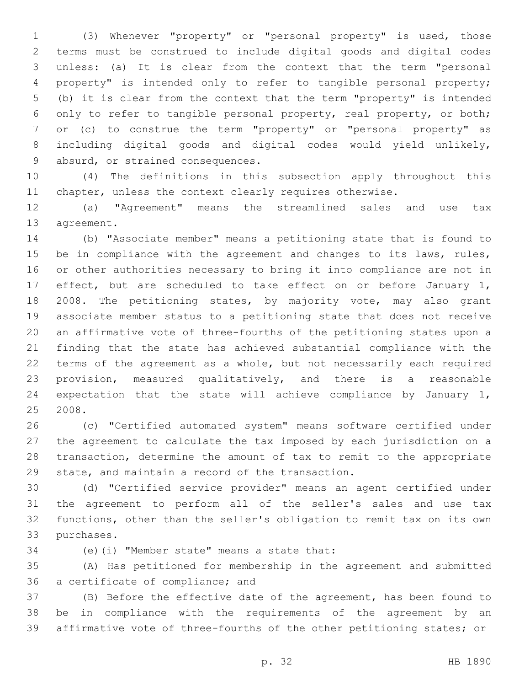(3) Whenever "property" or "personal property" is used, those terms must be construed to include digital goods and digital codes unless: (a) It is clear from the context that the term "personal property" is intended only to refer to tangible personal property; (b) it is clear from the context that the term "property" is intended only to refer to tangible personal property, real property, or both; or (c) to construe the term "property" or "personal property" as including digital goods and digital codes would yield unlikely, 9 absurd, or strained consequences.

 (4) The definitions in this subsection apply throughout this chapter, unless the context clearly requires otherwise.

 (a) "Agreement" means the streamlined sales and use tax 13 agreement.

 (b) "Associate member" means a petitioning state that is found to 15 be in compliance with the agreement and changes to its laws, rules, or other authorities necessary to bring it into compliance are not in effect, but are scheduled to take effect on or before January 1, 18 2008. The petitioning states, by majority vote, may also grant associate member status to a petitioning state that does not receive an affirmative vote of three-fourths of the petitioning states upon a finding that the state has achieved substantial compliance with the terms of the agreement as a whole, but not necessarily each required provision, measured qualitatively, and there is a reasonable expectation that the state will achieve compliance by January 1, 2008.

 (c) "Certified automated system" means software certified under the agreement to calculate the tax imposed by each jurisdiction on a transaction, determine the amount of tax to remit to the appropriate 29 state, and maintain a record of the transaction.

 (d) "Certified service provider" means an agent certified under the agreement to perform all of the seller's sales and use tax functions, other than the seller's obligation to remit tax on its own 33 purchases.

(e)(i) "Member state" means a state that:34

 (A) Has petitioned for membership in the agreement and submitted 36 a certificate of compliance; and

 (B) Before the effective date of the agreement, has been found to be in compliance with the requirements of the agreement by an affirmative vote of three-fourths of the other petitioning states; or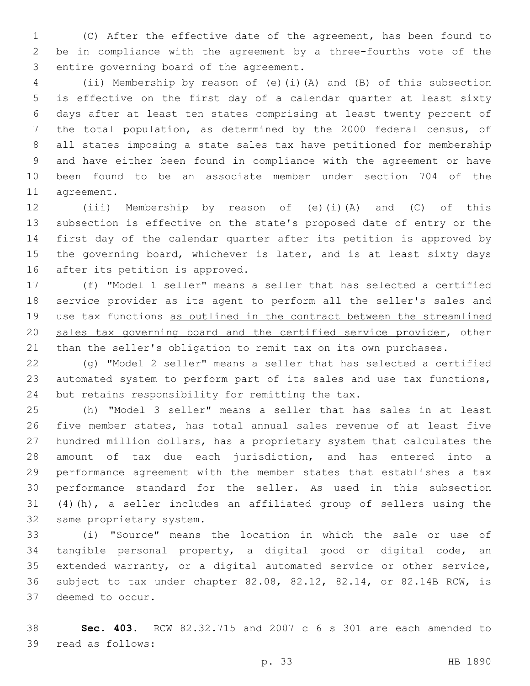(C) After the effective date of the agreement, has been found to be in compliance with the agreement by a three-fourths vote of the 3 entire governing board of the agreement.

 (ii) Membership by reason of (e)(i)(A) and (B) of this subsection is effective on the first day of a calendar quarter at least sixty days after at least ten states comprising at least twenty percent of the total population, as determined by the 2000 federal census, of all states imposing a state sales tax have petitioned for membership and have either been found in compliance with the agreement or have been found to be an associate member under section 704 of the 11 agreement.

 (iii) Membership by reason of (e)(i)(A) and (C) of this subsection is effective on the state's proposed date of entry or the first day of the calendar quarter after its petition is approved by 15 the governing board, whichever is later, and is at least sixty days 16 after its petition is approved.

 (f) "Model 1 seller" means a seller that has selected a certified service provider as its agent to perform all the seller's sales and use tax functions as outlined in the contract between the streamlined sales tax governing board and the certified service provider, other than the seller's obligation to remit tax on its own purchases.

 (g) "Model 2 seller" means a seller that has selected a certified automated system to perform part of its sales and use tax functions, 24 but retains responsibility for remitting the tax.

 (h) "Model 3 seller" means a seller that has sales in at least five member states, has total annual sales revenue of at least five hundred million dollars, has a proprietary system that calculates the amount of tax due each jurisdiction, and has entered into a performance agreement with the member states that establishes a tax performance standard for the seller. As used in this subsection (4)(h), a seller includes an affiliated group of sellers using the 32 same proprietary system.

 (i) "Source" means the location in which the sale or use of tangible personal property, a digital good or digital code, an extended warranty, or a digital automated service or other service, subject to tax under chapter 82.08, 82.12, 82.14, or 82.14B RCW, is 37 deemed to occur.

 **Sec. 403.** RCW 82.32.715 and 2007 c 6 s 301 are each amended to 39 read as follows: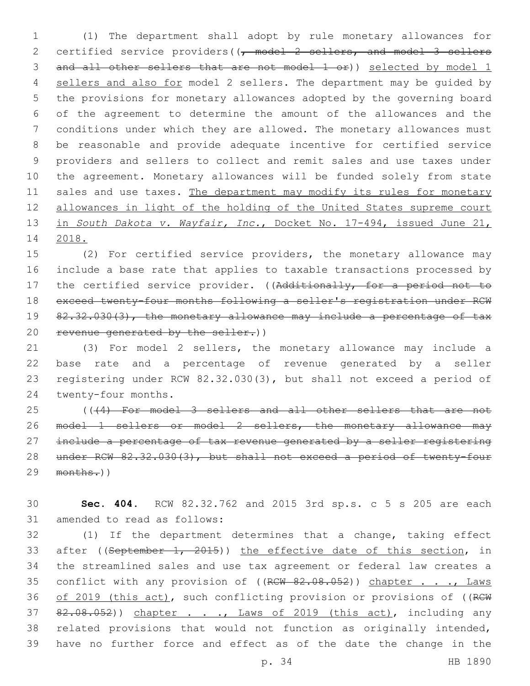(1) The department shall adopt by rule monetary allowances for 2 certified service providers( $\left(\frac{1}{f}\right)$  model 2 sellers, and model 3 sellers and all other sellers that are not model 1 or)) selected by model 1 sellers and also for model 2 sellers. The department may be guided by the provisions for monetary allowances adopted by the governing board of the agreement to determine the amount of the allowances and the conditions under which they are allowed. The monetary allowances must be reasonable and provide adequate incentive for certified service providers and sellers to collect and remit sales and use taxes under the agreement. Monetary allowances will be funded solely from state 11 sales and use taxes. The department may modify its rules for monetary allowances in light of the holding of the United States supreme court in *South Dakota v. Wayfair, Inc.*, Docket No. 17-494, issued June 21, 2018.

 (2) For certified service providers, the monetary allowance may include a base rate that applies to taxable transactions processed by 17 the certified service provider. ((Additionally, for a period not to exceed twenty-four months following a seller's registration under RCW 19 82.32.030(3), the monetary allowance may include a percentage of tax revenue generated by the seller.))

 (3) For model 2 sellers, the monetary allowance may include a base rate and a percentage of revenue generated by a seller registering under RCW 82.32.030(3), but shall not exceed a period of 24 twenty-four months.

 (((4) For model 3 sellers and all other sellers that are not model 1 sellers or model 2 sellers, the monetary allowance may 27 include a percentage of tax revenue generated by a seller registering under RCW 82.32.030(3), but shall not exceed a period of twenty-four months.))

 **Sec. 404.** RCW 82.32.762 and 2015 3rd sp.s. c 5 s 205 are each 31 amended to read as follows:

 (1) If the department determines that a change, taking effect 33 after ((September 1, 2015)) the effective date of this section, in the streamlined sales and use tax agreement or federal law creates a 35 conflict with any provision of ((RCW 82.08.052)) chapter . . ., Laws 36 of 2019 (this act), such conflicting provision or provisions of ((RCW 37 82.08.052)) chapter . . ., Laws of 2019 (this act), including any related provisions that would not function as originally intended, have no further force and effect as of the date the change in the

p. 34 HB 1890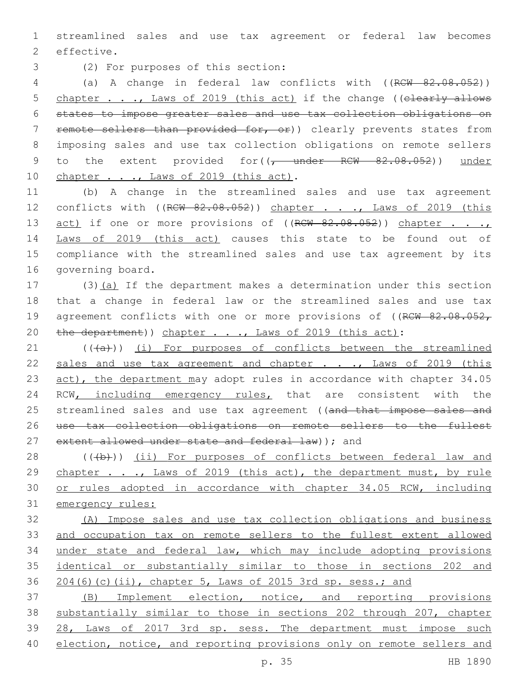1 streamlined sales and use tax agreement or federal law becomes 2 effective.

(2) For purposes of this section:3

4 (a) A change in federal law conflicts with ((RCW 82.08.052)) 5 chapter . . ., Laws of 2019 (this act) if the change ((elearly allows 6 states to impose greater sales and use tax collection obligations on 7 remote sellers than provided for, or)) clearly prevents states from 8 imposing sales and use tax collection obligations on remote sellers 9 to the extent provided for((<del>, under RCW 82.08.052</del>)) under 10 chapter . . ., Laws of 2019 (this act).

11 (b) A change in the streamlined sales and use tax agreement 12 conflicts with ((RCW 82.08.052)) chapter . . ., Laws of 2019 (this 13 act) if one or more provisions of ((RCW 82.08.052)) chapter . . . 14 Laws of 2019 (this act) causes this state to be found out of 15 compliance with the streamlined sales and use tax agreement by its 16 governing board.

17 (3)(a) If the department makes a determination under this section 18 that a change in federal law or the streamlined sales and use tax 19 agreement conflicts with one or more provisions of ((RCW 82.08.052, 20 the department)) chapter . . ., Laws of 2019 (this act):

21 (((+a))) (i) For purposes of conflicts between the streamlined 22 sales and use tax agreement and chapter . . ., Laws of 2019 (this 23 act), the department may adopt rules in accordance with chapter 34.05 24 RCW, including emergency rules, that are consistent with the 25 streamlined sales and use tax agreement ((and that impose sales and 26 use tax collection obligations on remote sellers to the fullest 27 extent allowed under state and federal law) ); and

28 (((b))) (ii) For purposes of conflicts between federal law and 29 chapter . . ., Laws of 2019 (this act), the department must, by rule 30 or rules adopted in accordance with chapter 34.05 RCW, including 31 emergency rules:

 (A) Impose sales and use tax collection obligations and business and occupation tax on remote sellers to the fullest extent allowed under state and federal law, which may include adopting provisions identical or substantially similar to those in sections 202 and 204(6)(c)(ii), chapter 5, Laws of 2015 3rd sp. sess.; and

 (B) Implement election, notice, and reporting provisions substantially similar to those in sections 202 through 207, chapter 28, Laws of 2017 3rd sp. sess. The department must impose such 40 election, notice, and reporting provisions only on remote sellers and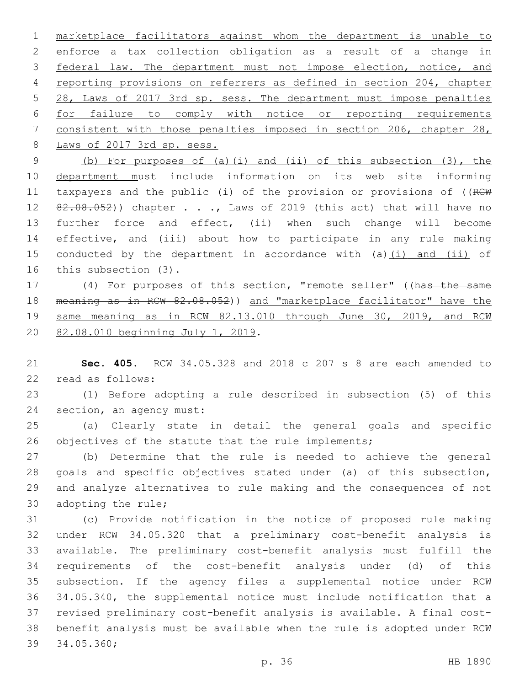marketplace facilitators against whom the department is unable to enforce a tax collection obligation as a result of a change in federal law. The department must not impose election, notice, and reporting provisions on referrers as defined in section 204, chapter 28, Laws of 2017 3rd sp. sess. The department must impose penalties for failure to comply with notice or reporting requirements consistent with those penalties imposed in section 206, chapter 28, 8 Laws of 2017 3rd sp. sess.

 (b) For purposes of (a)(i) and (ii) of this subsection (3), the department must include information on its web site informing 11 taxpayers and the public (i) of the provision or provisions of ((RCW 12 82.08.052)) chapter . . ., Laws of 2019 (this act) that will have no further force and effect, (ii) when such change will become effective, and (iii) about how to participate in any rule making 15 conducted by the department in accordance with (a)(i) and (ii) of 16 this subsection (3).

 (4) For purposes of this section, "remote seller" ((has the same meaning as in RCW 82.08.052)) and "marketplace facilitator" have the 19 same meaning as in RCW 82.13.010 through June 30, 2019, and RCW 20 82.08.010 beginning July 1, 2019.

 **Sec. 405.** RCW 34.05.328 and 2018 c 207 s 8 are each amended to read as follows:22

 (1) Before adopting a rule described in subsection (5) of this 24 section, an agency must:

 (a) Clearly state in detail the general goals and specific 26 objectives of the statute that the rule implements;

 (b) Determine that the rule is needed to achieve the general goals and specific objectives stated under (a) of this subsection, and analyze alternatives to rule making and the consequences of not 30 adopting the rule;

 (c) Provide notification in the notice of proposed rule making under RCW 34.05.320 that a preliminary cost-benefit analysis is available. The preliminary cost-benefit analysis must fulfill the requirements of the cost-benefit analysis under (d) of this subsection. If the agency files a supplemental notice under RCW 34.05.340, the supplemental notice must include notification that a revised preliminary cost-benefit analysis is available. A final cost- benefit analysis must be available when the rule is adopted under RCW 39 34.05.360;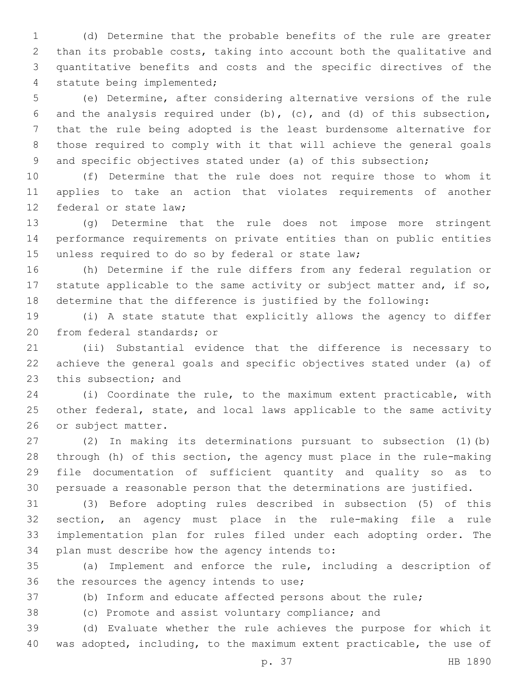(d) Determine that the probable benefits of the rule are greater than its probable costs, taking into account both the qualitative and quantitative benefits and costs and the specific directives of the 4 statute being implemented;

 (e) Determine, after considering alternative versions of the rule and the analysis required under (b), (c), and (d) of this subsection, that the rule being adopted is the least burdensome alternative for those required to comply with it that will achieve the general goals 9 and specific objectives stated under (a) of this subsection;

 (f) Determine that the rule does not require those to whom it applies to take an action that violates requirements of another 12 federal or state law:

 (g) Determine that the rule does not impose more stringent performance requirements on private entities than on public entities 15 unless required to do so by federal or state law;

 (h) Determine if the rule differs from any federal regulation or 17 statute applicable to the same activity or subject matter and, if so, determine that the difference is justified by the following:

 (i) A state statute that explicitly allows the agency to differ 20 from federal standards; or

 (ii) Substantial evidence that the difference is necessary to achieve the general goals and specific objectives stated under (a) of 23 this subsection; and

 (i) Coordinate the rule, to the maximum extent practicable, with other federal, state, and local laws applicable to the same activity 26 or subject matter.

 (2) In making its determinations pursuant to subsection (1)(b) through (h) of this section, the agency must place in the rule-making file documentation of sufficient quantity and quality so as to persuade a reasonable person that the determinations are justified.

 (3) Before adopting rules described in subsection (5) of this section, an agency must place in the rule-making file a rule implementation plan for rules filed under each adopting order. The 34 plan must describe how the agency intends to:

 (a) Implement and enforce the rule, including a description of 36 the resources the agency intends to use;

(b) Inform and educate affected persons about the rule;

(c) Promote and assist voluntary compliance; and

 (d) Evaluate whether the rule achieves the purpose for which it was adopted, including, to the maximum extent practicable, the use of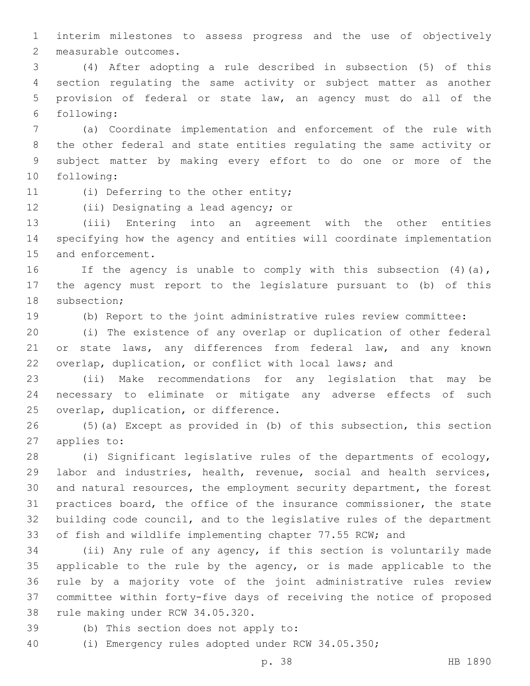interim milestones to assess progress and the use of objectively 2 measurable outcomes.

 (4) After adopting a rule described in subsection (5) of this section regulating the same activity or subject matter as another provision of federal or state law, an agency must do all of the following:6

 (a) Coordinate implementation and enforcement of the rule with the other federal and state entities regulating the same activity or subject matter by making every effort to do one or more of the 10 following:

11 (i) Deferring to the other entity;

12 (ii) Designating a lead agency; or

 (iii) Entering into an agreement with the other entities specifying how the agency and entities will coordinate implementation 15 and enforcement.

 If the agency is unable to comply with this subsection (4)(a), the agency must report to the legislature pursuant to (b) of this 18 subsection;

(b) Report to the joint administrative rules review committee:

 (i) The existence of any overlap or duplication of other federal 21 or state laws, any differences from federal law, and any known overlap, duplication, or conflict with local laws; and

 (ii) Make recommendations for any legislation that may be necessary to eliminate or mitigate any adverse effects of such 25 overlap, duplication, or difference.

 (5)(a) Except as provided in (b) of this subsection, this section 27 applies to:

 (i) Significant legislative rules of the departments of ecology, labor and industries, health, revenue, social and health services, and natural resources, the employment security department, the forest practices board, the office of the insurance commissioner, the state building code council, and to the legislative rules of the department of fish and wildlife implementing chapter 77.55 RCW; and

 (ii) Any rule of any agency, if this section is voluntarily made applicable to the rule by the agency, or is made applicable to the rule by a majority vote of the joint administrative rules review committee within forty-five days of receiving the notice of proposed 38 rule making under RCW 34.05.320.

39 (b) This section does not apply to:

(i) Emergency rules adopted under RCW 34.05.350;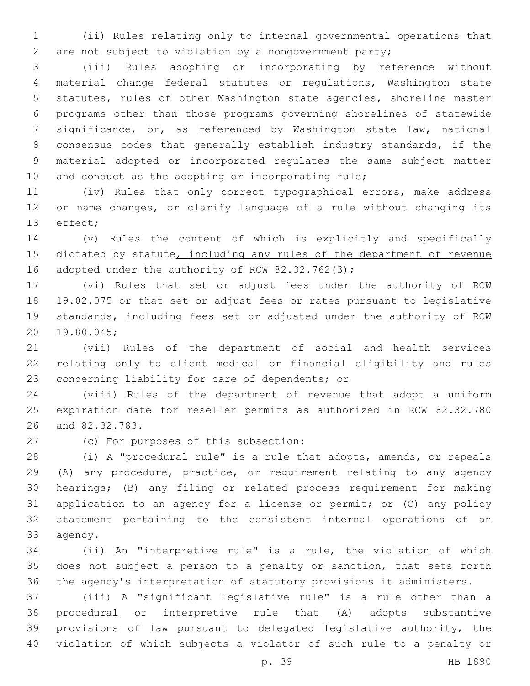(ii) Rules relating only to internal governmental operations that are not subject to violation by a nongovernment party;

 (iii) Rules adopting or incorporating by reference without material change federal statutes or regulations, Washington state statutes, rules of other Washington state agencies, shoreline master programs other than those programs governing shorelines of statewide significance, or, as referenced by Washington state law, national consensus codes that generally establish industry standards, if the material adopted or incorporated regulates the same subject matter 10 and conduct as the adopting or incorporating rule;

 (iv) Rules that only correct typographical errors, make address or name changes, or clarify language of a rule without changing its 13 effect;

 (v) Rules the content of which is explicitly and specifically 15 dictated by statute, including any rules of the department of revenue 16 adopted under the authority of RCW 82.32.762(3);

 (vi) Rules that set or adjust fees under the authority of RCW 19.02.075 or that set or adjust fees or rates pursuant to legislative standards, including fees set or adjusted under the authority of RCW 19.80.045;20

 (vii) Rules of the department of social and health services relating only to client medical or financial eligibility and rules 23 concerning liability for care of dependents; or

 (viii) Rules of the department of revenue that adopt a uniform expiration date for reseller permits as authorized in RCW 82.32.780 26 and 82.32.783.

27 (c) For purposes of this subsection:

 (i) A "procedural rule" is a rule that adopts, amends, or repeals (A) any procedure, practice, or requirement relating to any agency hearings; (B) any filing or related process requirement for making application to an agency for a license or permit; or (C) any policy statement pertaining to the consistent internal operations of an 33 agency.

 (ii) An "interpretive rule" is a rule, the violation of which does not subject a person to a penalty or sanction, that sets forth the agency's interpretation of statutory provisions it administers.

 (iii) A "significant legislative rule" is a rule other than a procedural or interpretive rule that (A) adopts substantive provisions of law pursuant to delegated legislative authority, the violation of which subjects a violator of such rule to a penalty or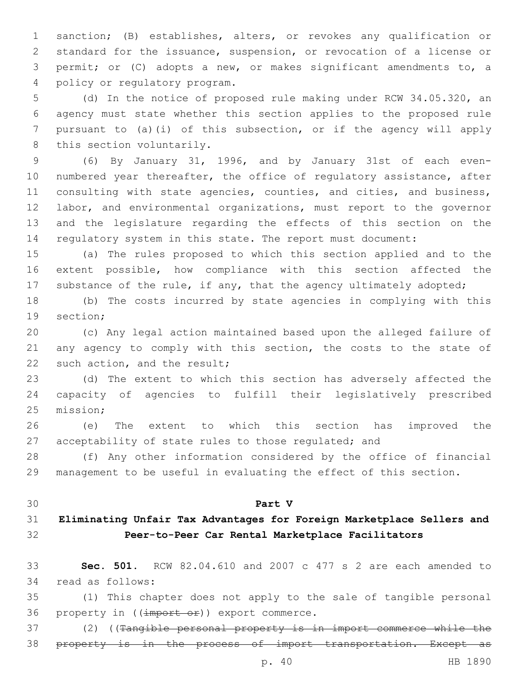sanction; (B) establishes, alters, or revokes any qualification or standard for the issuance, suspension, or revocation of a license or permit; or (C) adopts a new, or makes significant amendments to, a 4 policy or regulatory program.

 (d) In the notice of proposed rule making under RCW 34.05.320, an agency must state whether this section applies to the proposed rule pursuant to (a)(i) of this subsection, or if the agency will apply 8 this section voluntarily.

 (6) By January 31, 1996, and by January 31st of each even-10 numbered year thereafter, the office of regulatory assistance, after 11 consulting with state agencies, counties, and cities, and business, labor, and environmental organizations, must report to the governor and the legislature regarding the effects of this section on the regulatory system in this state. The report must document:

 (a) The rules proposed to which this section applied and to the extent possible, how compliance with this section affected the 17 substance of the rule, if any, that the agency ultimately adopted;

 (b) The costs incurred by state agencies in complying with this 19 section:

 (c) Any legal action maintained based upon the alleged failure of 21 any agency to comply with this section, the costs to the state of 22 such action, and the result;

 (d) The extent to which this section has adversely affected the capacity of agencies to fulfill their legislatively prescribed 25 mission;

 (e) The extent to which this section has improved the acceptability of state rules to those regulated; and

 (f) Any other information considered by the office of financial management to be useful in evaluating the effect of this section.

#### **Part V**

# **Eliminating Unfair Tax Advantages for Foreign Marketplace Sellers and Peer-to-Peer Car Rental Marketplace Facilitators**

 **Sec. 501.** RCW 82.04.610 and 2007 c 477 s 2 are each amended to 34 read as follows:

 (1) This chapter does not apply to the sale of tangible personal 36 property in  $((\text{import or})\)$  export commerce.

 (2) ((Tangible personal property is in import commerce while the property is in the process of import transportation. Except as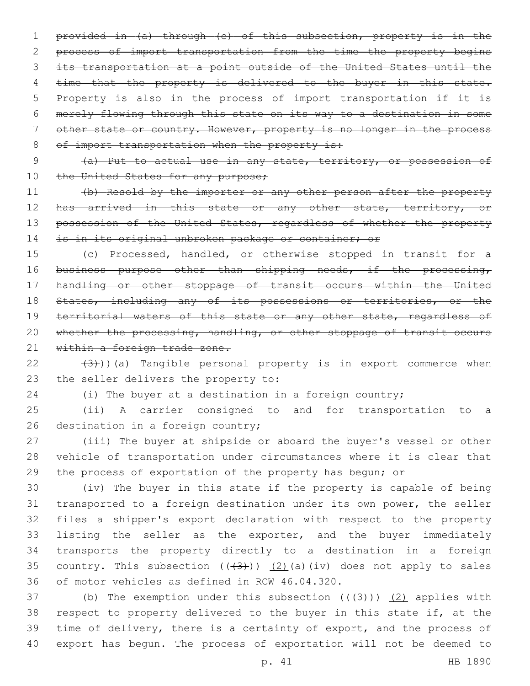provided in (a) through (c) of this subsection, property is in the process of import transportation from the time the property begins its transportation at a point outside of the United States until the 4 time that the property is delivered to the buyer in this state. Property is also in the process of import transportation if it is merely flowing through this state on its way to a destination in some other state or country. However, property is no longer in the process 8 of import transportation when the property is:

9 (a) Put to actual use in any state, territory, or possession of 10 the United States for any purpose;

11 (b) Resold by the importer or any other person after the property 12 has arrived in this state or any other state, territory, or 13 possession of the United States, regardless of whether the property 14 is in its original unbroken package or container; or

15 (c) Processed, handled, or otherwise stopped in transit for a 16 business purpose other than shipping needs, if the processing, 17 handling or other stoppage of transit occurs within the United 18 States, including any of its possessions or territories, or the 19 territorial waters of this state or any other state, regardless of 20 whether the processing, handling, or other stoppage of transit occurs 21 within a foreign trade zone.

 $(3)$ ))(a) Tangible personal property is in export commerce when 23 the seller delivers the property to:

24 (i) The buyer at a destination in a foreign country;

25 (ii) A carrier consigned to and for transportation to a 26 destination in a foreign country;

27 (iii) The buyer at shipside or aboard the buyer's vessel or other 28 vehicle of transportation under circumstances where it is clear that 29 the process of exportation of the property has begun; or

 (iv) The buyer in this state if the property is capable of being transported to a foreign destination under its own power, the seller files a shipper's export declaration with respect to the property listing the seller as the exporter, and the buyer immediately transports the property directly to a destination in a foreign 35 country. This subsection  $((+3+))$   $(2)$  (a)(iv) does not apply to sales 36 of motor vehicles as defined in RCW 46.04.320.

37 (b) The exemption under this subsection  $((+3+))$   $(2)$  applies with respect to property delivered to the buyer in this state if, at the time of delivery, there is a certainty of export, and the process of export has begun. The process of exportation will not be deemed to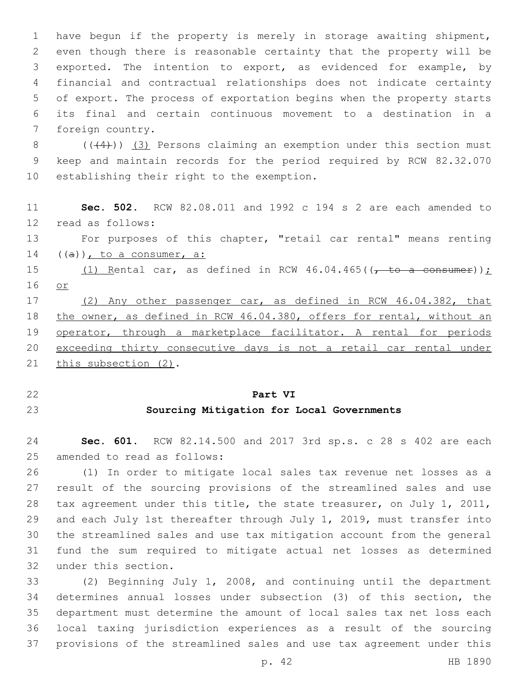have begun if the property is merely in storage awaiting shipment, even though there is reasonable certainty that the property will be exported. The intention to export, as evidenced for example, by financial and contractual relationships does not indicate certainty of export. The process of exportation begins when the property starts its final and certain continuous movement to a destination in a 7 foreign country.

8  $((44))$  (3) Persons claiming an exemption under this section must keep and maintain records for the period required by RCW 82.32.070 10 establishing their right to the exemption.

 **Sec. 502.** RCW 82.08.011 and 1992 c 194 s 2 are each amended to 12 read as follows:

 For purposes of this chapter, "retail car rental" means renting 14  $((a))$ , to a consumer, a:

15 (1) Rental car, as defined in RCW  $46.04.465$  ( $\sqrt{ }$  to a consumer)); or

 (2) Any other passenger car, as defined in RCW 46.04.382, that the owner, as defined in RCW 46.04.380, offers for rental, without an 19 operator, through a marketplace facilitator. A rental for periods exceeding thirty consecutive days is not a retail car rental under 21 this subsection (2).

#### **Part VI**

### **Sourcing Mitigation for Local Governments**

 **Sec. 601.** RCW 82.14.500 and 2017 3rd sp.s. c 28 s 402 are each 25 amended to read as follows:

 (1) In order to mitigate local sales tax revenue net losses as a result of the sourcing provisions of the streamlined sales and use tax agreement under this title, the state treasurer, on July 1, 2011, and each July 1st thereafter through July 1, 2019, must transfer into the streamlined sales and use tax mitigation account from the general fund the sum required to mitigate actual net losses as determined 32 under this section.

 (2) Beginning July 1, 2008, and continuing until the department determines annual losses under subsection (3) of this section, the department must determine the amount of local sales tax net loss each local taxing jurisdiction experiences as a result of the sourcing provisions of the streamlined sales and use tax agreement under this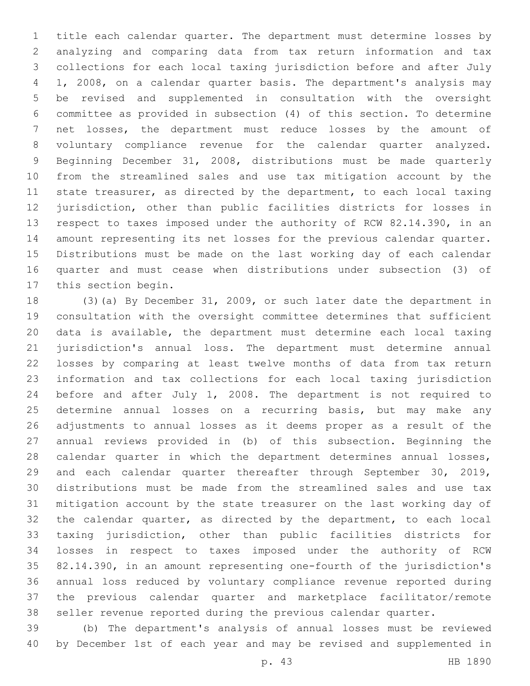title each calendar quarter. The department must determine losses by analyzing and comparing data from tax return information and tax collections for each local taxing jurisdiction before and after July 1, 2008, on a calendar quarter basis. The department's analysis may be revised and supplemented in consultation with the oversight committee as provided in subsection (4) of this section. To determine net losses, the department must reduce losses by the amount of voluntary compliance revenue for the calendar quarter analyzed. Beginning December 31, 2008, distributions must be made quarterly from the streamlined sales and use tax mitigation account by the state treasurer, as directed by the department, to each local taxing jurisdiction, other than public facilities districts for losses in respect to taxes imposed under the authority of RCW 82.14.390, in an amount representing its net losses for the previous calendar quarter. Distributions must be made on the last working day of each calendar quarter and must cease when distributions under subsection (3) of 17 this section begin.

 (3)(a) By December 31, 2009, or such later date the department in consultation with the oversight committee determines that sufficient data is available, the department must determine each local taxing jurisdiction's annual loss. The department must determine annual losses by comparing at least twelve months of data from tax return information and tax collections for each local taxing jurisdiction before and after July 1, 2008. The department is not required to determine annual losses on a recurring basis, but may make any adjustments to annual losses as it deems proper as a result of the annual reviews provided in (b) of this subsection. Beginning the 28 calendar quarter in which the department determines annual losses, and each calendar quarter thereafter through September 30, 2019, distributions must be made from the streamlined sales and use tax mitigation account by the state treasurer on the last working day of the calendar quarter, as directed by the department, to each local taxing jurisdiction, other than public facilities districts for losses in respect to taxes imposed under the authority of RCW 82.14.390, in an amount representing one-fourth of the jurisdiction's annual loss reduced by voluntary compliance revenue reported during the previous calendar quarter and marketplace facilitator/remote seller revenue reported during the previous calendar quarter.

 (b) The department's analysis of annual losses must be reviewed by December 1st of each year and may be revised and supplemented in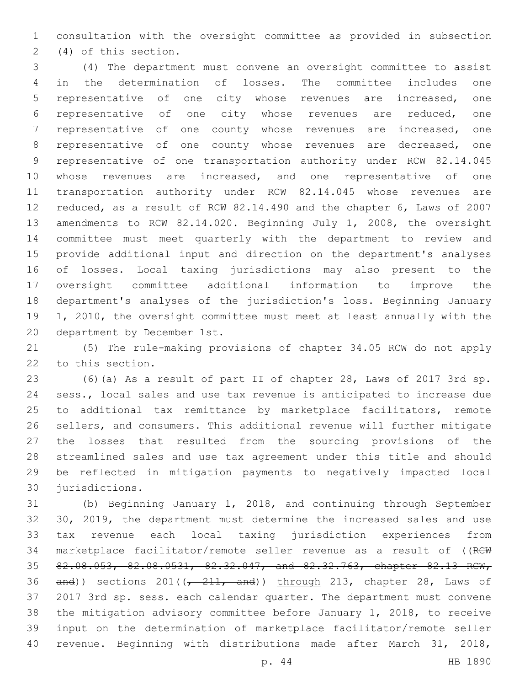consultation with the oversight committee as provided in subsection (4) of this section.2

 (4) The department must convene an oversight committee to assist in the determination of losses. The committee includes one representative of one city whose revenues are increased, one representative of one city whose revenues are reduced, one representative of one county whose revenues are increased, one representative of one county whose revenues are decreased, one representative of one transportation authority under RCW 82.14.045 10 whose revenues are increased, and one representative of one transportation authority under RCW 82.14.045 whose revenues are reduced, as a result of RCW 82.14.490 and the chapter 6, Laws of 2007 amendments to RCW 82.14.020. Beginning July 1, 2008, the oversight committee must meet quarterly with the department to review and provide additional input and direction on the department's analyses of losses. Local taxing jurisdictions may also present to the oversight committee additional information to improve the department's analyses of the jurisdiction's loss. Beginning January 1, 2010, the oversight committee must meet at least annually with the 20 department by December 1st.

 (5) The rule-making provisions of chapter 34.05 RCW do not apply 22 to this section.

 (6)(a) As a result of part II of chapter 28, Laws of 2017 3rd sp. sess., local sales and use tax revenue is anticipated to increase due to additional tax remittance by marketplace facilitators, remote sellers, and consumers. This additional revenue will further mitigate the losses that resulted from the sourcing provisions of the streamlined sales and use tax agreement under this title and should be reflected in mitigation payments to negatively impacted local 30 jurisdictions.

 (b) Beginning January 1, 2018, and continuing through September 30, 2019, the department must determine the increased sales and use tax revenue each local taxing jurisdiction experiences from marketplace facilitator/remote seller revenue as a result of ((RCW 82.08.053, 82.08.0531, 82.32.047, and 82.32.763, chapter 82.13 RCW,  $and)$  sections 201( $(-211, and)$ ) through 213, chapter 28, Laws of 2017 3rd sp. sess. each calendar quarter. The department must convene the mitigation advisory committee before January 1, 2018, to receive input on the determination of marketplace facilitator/remote seller revenue. Beginning with distributions made after March 31, 2018,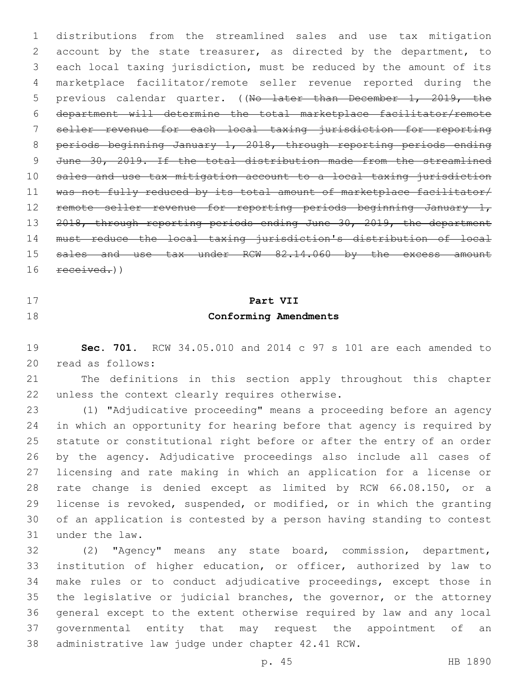distributions from the streamlined sales and use tax mitigation account by the state treasurer, as directed by the department, to each local taxing jurisdiction, must be reduced by the amount of its marketplace facilitator/remote seller revenue reported during the 5 previous calendar quarter. ((No later than December 1, 2019, the department will determine the total marketplace facilitator/remote seller revenue for each local taxing jurisdiction for reporting periods beginning January 1, 2018, through reporting periods ending June 30, 2019. If the total distribution made from the streamlined sales and use tax mitigation account to a local taxing jurisdiction was not fully reduced by its total amount of marketplace facilitator/ 12 remote seller revenue for reporting periods beginning January 1, 2018, through reporting periods ending June 30, 2019, the department must reduce the local taxing jurisdiction's distribution of local 15 sales and use tax under RCW 82.14.060 by the excess amount 16 received.))

- 
- 

# **Part VII Conforming Amendments**

 **Sec. 701.** RCW 34.05.010 and 2014 c 97 s 101 are each amended to read as follows:20

 The definitions in this section apply throughout this chapter 22 unless the context clearly requires otherwise.

 (1) "Adjudicative proceeding" means a proceeding before an agency in which an opportunity for hearing before that agency is required by statute or constitutional right before or after the entry of an order by the agency. Adjudicative proceedings also include all cases of licensing and rate making in which an application for a license or rate change is denied except as limited by RCW 66.08.150, or a license is revoked, suspended, or modified, or in which the granting of an application is contested by a person having standing to contest 31 under the law.

 (2) "Agency" means any state board, commission, department, institution of higher education, or officer, authorized by law to make rules or to conduct adjudicative proceedings, except those in the legislative or judicial branches, the governor, or the attorney general except to the extent otherwise required by law and any local governmental entity that may request the appointment of an 38 administrative law judge under chapter 42.41 RCW.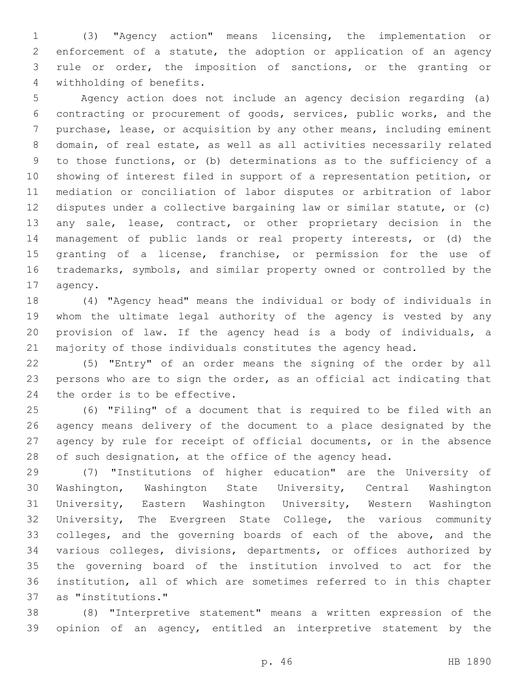(3) "Agency action" means licensing, the implementation or enforcement of a statute, the adoption or application of an agency rule or order, the imposition of sanctions, or the granting or 4 withholding of benefits.

 Agency action does not include an agency decision regarding (a) contracting or procurement of goods, services, public works, and the purchase, lease, or acquisition by any other means, including eminent domain, of real estate, as well as all activities necessarily related to those functions, or (b) determinations as to the sufficiency of a showing of interest filed in support of a representation petition, or mediation or conciliation of labor disputes or arbitration of labor disputes under a collective bargaining law or similar statute, or (c) any sale, lease, contract, or other proprietary decision in the management of public lands or real property interests, or (d) the granting of a license, franchise, or permission for the use of trademarks, symbols, and similar property owned or controlled by the 17 agency.

 (4) "Agency head" means the individual or body of individuals in whom the ultimate legal authority of the agency is vested by any provision of law. If the agency head is a body of individuals, a majority of those individuals constitutes the agency head.

 (5) "Entry" of an order means the signing of the order by all persons who are to sign the order, as an official act indicating that 24 the order is to be effective.

 (6) "Filing" of a document that is required to be filed with an agency means delivery of the document to a place designated by the agency by rule for receipt of official documents, or in the absence 28 of such designation, at the office of the agency head.

 (7) "Institutions of higher education" are the University of Washington, Washington State University, Central Washington University, Eastern Washington University, Western Washington University, The Evergreen State College, the various community colleges, and the governing boards of each of the above, and the various colleges, divisions, departments, or offices authorized by the governing board of the institution involved to act for the institution, all of which are sometimes referred to in this chapter as "institutions."37

 (8) "Interpretive statement" means a written expression of the opinion of an agency, entitled an interpretive statement by the

p. 46 HB 1890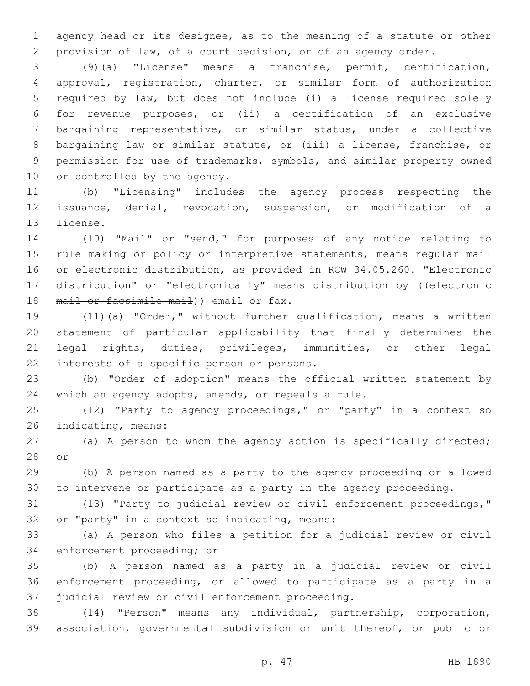agency head or its designee, as to the meaning of a statute or other provision of law, of a court decision, or of an agency order.

 (9)(a) "License" means a franchise, permit, certification, approval, registration, charter, or similar form of authorization required by law, but does not include (i) a license required solely for revenue purposes, or (ii) a certification of an exclusive bargaining representative, or similar status, under a collective bargaining law or similar statute, or (iii) a license, franchise, or permission for use of trademarks, symbols, and similar property owned 10 or controlled by the agency.

 (b) "Licensing" includes the agency process respecting the issuance, denial, revocation, suspension, or modification of a 13 license.

 (10) "Mail" or "send," for purposes of any notice relating to rule making or policy or interpretive statements, means regular mail or electronic distribution, as provided in RCW 34.05.260. "Electronic 17 distribution" or "electronically" means distribution by ((electronie 18 mail or facsimile mail) email or fax.

 (11)(a) "Order," without further qualification, means a written statement of particular applicability that finally determines the legal rights, duties, privileges, immunities, or other legal 22 interests of a specific person or persons.

 (b) "Order of adoption" means the official written statement by which an agency adopts, amends, or repeals a rule.

 (12) "Party to agency proceedings," or "party" in a context so 26 indicating, means:

 (a) A person to whom the agency action is specifically directed; 28 or

 (b) A person named as a party to the agency proceeding or allowed to intervene or participate as a party in the agency proceeding.

 (13) "Party to judicial review or civil enforcement proceedings," 32 or "party" in a context so indicating, means:

 (a) A person who files a petition for a judicial review or civil 34 enforcement proceeding; or

 (b) A person named as a party in a judicial review or civil enforcement proceeding, or allowed to participate as a party in a 37 judicial review or civil enforcement proceeding.

 (14) "Person" means any individual, partnership, corporation, association, governmental subdivision or unit thereof, or public or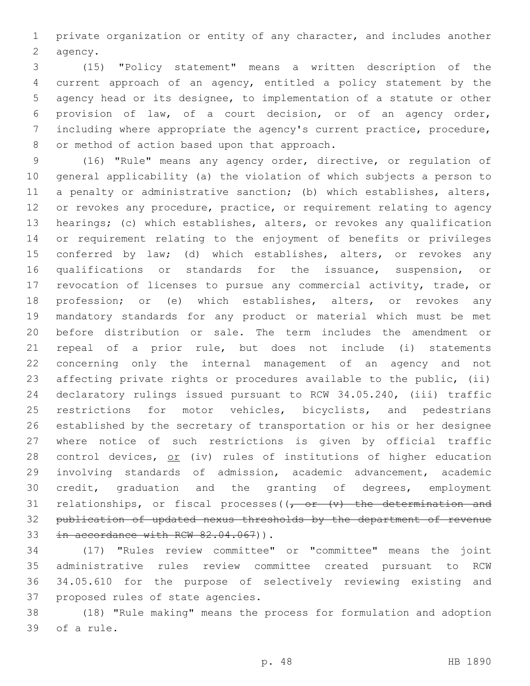private organization or entity of any character, and includes another 2 agency.

 (15) "Policy statement" means a written description of the current approach of an agency, entitled a policy statement by the agency head or its designee, to implementation of a statute or other provision of law, of a court decision, or of an agency order, including where appropriate the agency's current practice, procedure, 8 or method of action based upon that approach.

 (16) "Rule" means any agency order, directive, or regulation of general applicability (a) the violation of which subjects a person to a penalty or administrative sanction; (b) which establishes, alters, 12 or revokes any procedure, practice, or requirement relating to agency hearings; (c) which establishes, alters, or revokes any qualification or requirement relating to the enjoyment of benefits or privileges 15 conferred by law; (d) which establishes, alters, or revokes any qualifications or standards for the issuance, suspension, or revocation of licenses to pursue any commercial activity, trade, or profession; or (e) which establishes, alters, or revokes any mandatory standards for any product or material which must be met before distribution or sale. The term includes the amendment or repeal of a prior rule, but does not include (i) statements concerning only the internal management of an agency and not affecting private rights or procedures available to the public, (ii) declaratory rulings issued pursuant to RCW 34.05.240, (iii) traffic 25 restrictions for motor vehicles, bicyclists, and pedestrians established by the secretary of transportation or his or her designee where notice of such restrictions is given by official traffic 28 control devices, or (iv) rules of institutions of higher education involving standards of admission, academic advancement, academic credit, graduation and the granting of degrees, employment 31 relationships, or fiscal processes  $((\tau, or \rightarrow (v)$  the determination and publication of updated nexus thresholds by the department of revenue 33 in accordance with RCW 82.04.067)).

 (17) "Rules review committee" or "committee" means the joint administrative rules review committee created pursuant to RCW 34.05.610 for the purpose of selectively reviewing existing and 37 proposed rules of state agencies.

 (18) "Rule making" means the process for formulation and adoption 39 of a rule.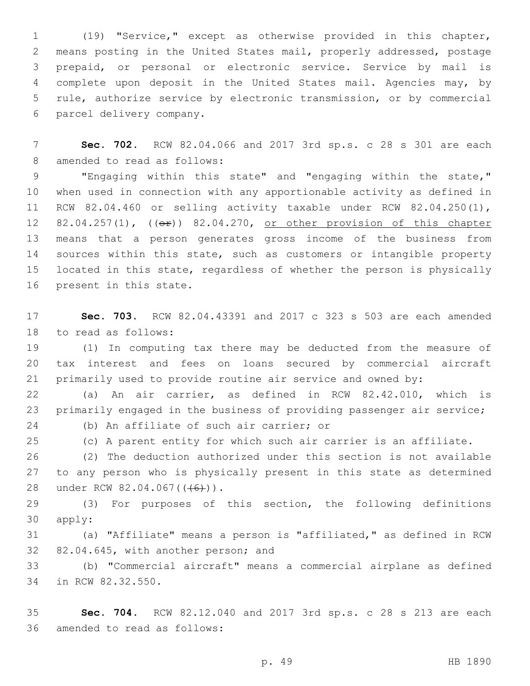(19) "Service," except as otherwise provided in this chapter, means posting in the United States mail, properly addressed, postage prepaid, or personal or electronic service. Service by mail is complete upon deposit in the United States mail. Agencies may, by rule, authorize service by electronic transmission, or by commercial 6 parcel delivery company.

 **Sec. 702.** RCW 82.04.066 and 2017 3rd sp.s. c 28 s 301 are each 8 amended to read as follows:

 "Engaging within this state" and "engaging within the state," when used in connection with any apportionable activity as defined in RCW 82.04.460 or selling activity taxable under RCW 82.04.250(1), 12 82.04.257(1), (( $\Theta$ )) 82.04.270, or other provision of this chapter means that a person generates gross income of the business from sources within this state, such as customers or intangible property located in this state, regardless of whether the person is physically 16 present in this state.

 **Sec. 703.** RCW 82.04.43391 and 2017 c 323 s 503 are each amended 18 to read as follows:

 (1) In computing tax there may be deducted from the measure of tax interest and fees on loans secured by commercial aircraft primarily used to provide routine air service and owned by:

 (a) An air carrier, as defined in RCW 82.42.010, which is 23 primarily engaged in the business of providing passenger air service; 24 (b) An affiliate of such air carrier; or

(c) A parent entity for which such air carrier is an affiliate.

 (2) The deduction authorized under this section is not available to any person who is physically present in this state as determined 28 under RCW 82.04.067((<del>(6)</del>)).

 (3) For purposes of this section, the following definitions 30 apply:

 (a) "Affiliate" means a person is "affiliated," as defined in RCW 82.04.645, with another person; and

 (b) "Commercial aircraft" means a commercial airplane as defined 34 in RCW 82.32.550.

 **Sec. 704.** RCW 82.12.040 and 2017 3rd sp.s. c 28 s 213 are each 36 amended to read as follows: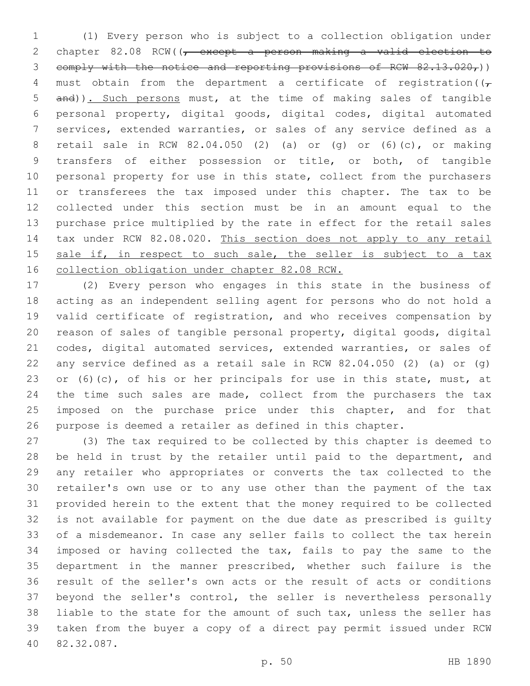(1) Every person who is subject to a collection obligation under 2 chapter 82.08 RCW((<del>, except a person making a valid election to</del> 3 comply with the notice and reporting provisions of RCW  $82.13.020<sub>r</sub>$ )) 4 must obtain from the department a certificate of registration( $(\tau)$  and)). Such persons must, at the time of making sales of tangible personal property, digital goods, digital codes, digital automated services, extended warranties, or sales of any service defined as a retail sale in RCW 82.04.050 (2) (a) or (g) or (6)(c), or making transfers of either possession or title, or both, of tangible personal property for use in this state, collect from the purchasers or transferees the tax imposed under this chapter. The tax to be collected under this section must be in an amount equal to the purchase price multiplied by the rate in effect for the retail sales 14 tax under RCW 82.08.020. This section does not apply to any retail 15 sale if, in respect to such sale, the seller is subject to a tax collection obligation under chapter 82.08 RCW.

 (2) Every person who engages in this state in the business of acting as an independent selling agent for persons who do not hold a valid certificate of registration, and who receives compensation by reason of sales of tangible personal property, digital goods, digital codes, digital automated services, extended warranties, or sales of any service defined as a retail sale in RCW 82.04.050 (2) (a) or (g) 23 or (6)(c), of his or her principals for use in this state, must, at 24 the time such sales are made, collect from the purchasers the tax 25 imposed on the purchase price under this chapter, and for that purpose is deemed a retailer as defined in this chapter.

 (3) The tax required to be collected by this chapter is deemed to 28 be held in trust by the retailer until paid to the department, and any retailer who appropriates or converts the tax collected to the retailer's own use or to any use other than the payment of the tax provided herein to the extent that the money required to be collected is not available for payment on the due date as prescribed is guilty of a misdemeanor. In case any seller fails to collect the tax herein imposed or having collected the tax, fails to pay the same to the department in the manner prescribed, whether such failure is the result of the seller's own acts or the result of acts or conditions beyond the seller's control, the seller is nevertheless personally liable to the state for the amount of such tax, unless the seller has taken from the buyer a copy of a direct pay permit issued under RCW 82.32.087.40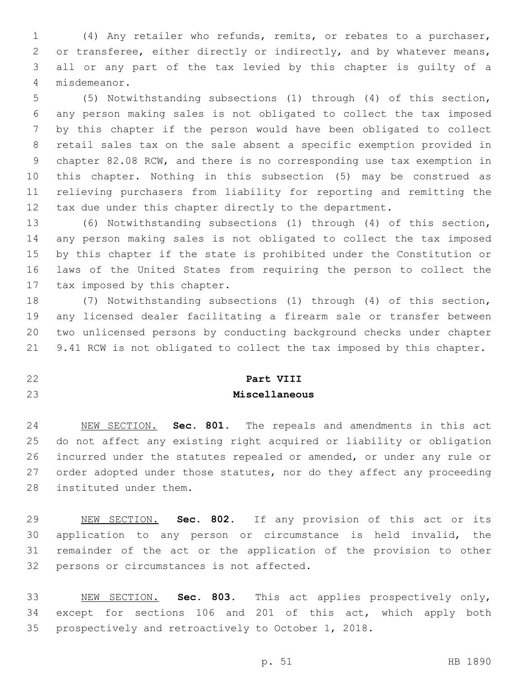(4) Any retailer who refunds, remits, or rebates to a purchaser, 2 or transferee, either directly or indirectly, and by whatever means, all or any part of the tax levied by this chapter is guilty of a misdemeanor.4

 (5) Notwithstanding subsections (1) through (4) of this section, any person making sales is not obligated to collect the tax imposed by this chapter if the person would have been obligated to collect retail sales tax on the sale absent a specific exemption provided in chapter 82.08 RCW, and there is no corresponding use tax exemption in this chapter. Nothing in this subsection (5) may be construed as relieving purchasers from liability for reporting and remitting the tax due under this chapter directly to the department.

 (6) Notwithstanding subsections (1) through (4) of this section, any person making sales is not obligated to collect the tax imposed by this chapter if the state is prohibited under the Constitution or laws of the United States from requiring the person to collect the 17 tax imposed by this chapter.

 (7) Notwithstanding subsections (1) through (4) of this section, any licensed dealer facilitating a firearm sale or transfer between two unlicensed persons by conducting background checks under chapter 9.41 RCW is not obligated to collect the tax imposed by this chapter.

## **Part VIII**

### **Miscellaneous**

 NEW SECTION. **Sec. 801.** The repeals and amendments in this act do not affect any existing right acquired or liability or obligation incurred under the statutes repealed or amended, or under any rule or 27 order adopted under those statutes, nor do they affect any proceeding instituted under them.

 NEW SECTION. **Sec. 802.** If any provision of this act or its application to any person or circumstance is held invalid, the remainder of the act or the application of the provision to other persons or circumstances is not affected.

 NEW SECTION. **Sec. 803.** This act applies prospectively only, except for sections 106 and 201 of this act, which apply both prospectively and retroactively to October 1, 2018.